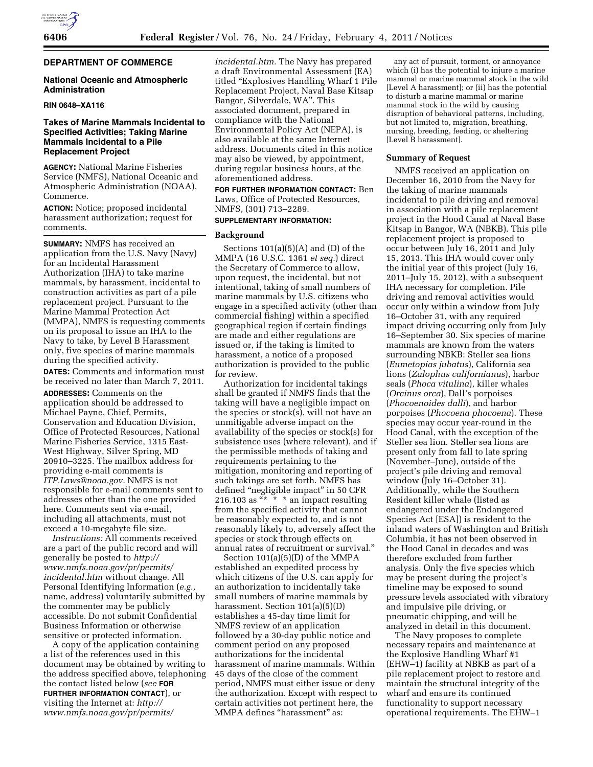# **DEPARTMENT OF COMMERCE**

## **National Oceanic and Atmospheric Administration**

# **RIN 0648–XA116**

# **Takes of Marine Mammals Incidental to Specified Activities; Taking Marine Mammals Incidental to a Pile Replacement Project**

**AGENCY:** National Marine Fisheries Service (NMFS), National Oceanic and Atmospheric Administration (NOAA), Commerce.

**ACTION:** Notice; proposed incidental harassment authorization; request for comments.

**SUMMARY:** NMFS has received an application from the U.S. Navy (Navy) for an Incidental Harassment Authorization (IHA) to take marine mammals, by harassment, incidental to construction activities as part of a pile replacement project. Pursuant to the Marine Mammal Protection Act (MMPA), NMFS is requesting comments on its proposal to issue an IHA to the Navy to take, by Level B Harassment only, five species of marine mammals during the specified activity.

**DATES:** Comments and information must be received no later than March 7, 2011.

**ADDRESSES:** Comments on the application should be addressed to Michael Payne, Chief, Permits, Conservation and Education Division, Office of Protected Resources, National Marine Fisheries Service, 1315 East-West Highway, Silver Spring, MD 20910–3225. The mailbox address for providing e-mail comments is *[ITP.Laws@noaa.gov.](mailto:ITP.Laws@noaa.gov)* NMFS is not responsible for e-mail comments sent to addresses other than the one provided here. Comments sent via e-mail, including all attachments, must not exceed a 10-megabyte file size.

*Instructions:* All comments received are a part of the public record and will generally be posted to *[http://](http://www.nmfs.noaa.gov/pr/permits/incidental.htm) [www.nmfs.noaa.gov/pr/permits/](http://www.nmfs.noaa.gov/pr/permits/incidental.htm) [incidental.htm](http://www.nmfs.noaa.gov/pr/permits/incidental.htm)* without change. All Personal Identifying Information (*e.g.,*  name, address) voluntarily submitted by the commenter may be publicly accessible. Do not submit Confidential Business Information or otherwise sensitive or protected information.

A copy of the application containing a list of the references used in this document may be obtained by writing to the address specified above, telephoning the contact listed below (*see* **FOR FURTHER INFORMATION CONTACT**), or visiting the Internet at: *[http://](http://www.nmfs.noaa.gov/pr/permits/incidental.htm)  [www.nmfs.noaa.gov/pr/permits/](http://www.nmfs.noaa.gov/pr/permits/incidental.htm)* 

*[incidental.htm.](http://www.nmfs.noaa.gov/pr/permits/incidental.htm)* The Navy has prepared a draft Environmental Assessment (EA) titled ''Explosives Handling Wharf 1 Pile Replacement Project, Naval Base Kitsap Bangor, Silverdale, WA''. This associated document, prepared in compliance with the National Environmental Policy Act (NEPA), is also available at the same Internet address. Documents cited in this notice may also be viewed, by appointment, during regular business hours, at the aforementioned address.

**FOR FURTHER INFORMATION CONTACT:** Ben Laws, Office of Protected Resources, NMFS, (301) 713–2289.

### **SUPPLEMENTARY INFORMATION:**

#### **Background**

Sections  $101(a)(5)(A)$  and  $(D)$  of the MMPA (16 U.S.C. 1361 *et seq.*) direct the Secretary of Commerce to allow, upon request, the incidental, but not intentional, taking of small numbers of marine mammals by U.S. citizens who engage in a specified activity (other than commercial fishing) within a specified geographical region if certain findings are made and either regulations are issued or, if the taking is limited to harassment, a notice of a proposed authorization is provided to the public for review.

Authorization for incidental takings shall be granted if NMFS finds that the taking will have a negligible impact on the species or stock(s), will not have an unmitigable adverse impact on the availability of the species or stock(s) for subsistence uses (where relevant), and if the permissible methods of taking and requirements pertaining to the mitigation, monitoring and reporting of such takings are set forth. NMFS has defined "negligible impact" in 50 CFR 216.103 as  $\frac{a}{x} \times \infty$  an impact resulting from the specified activity that cannot be reasonably expected to, and is not reasonably likely to, adversely affect the species or stock through effects on annual rates of recruitment or survival.''

Section 101(a)(5)(D) of the MMPA established an expedited process by which citizens of the U.S. can apply for an authorization to incidentally take small numbers of marine mammals by harassment. Section 101(a)(5)(D) establishes a 45-day time limit for NMFS review of an application followed by a 30-day public notice and comment period on any proposed authorizations for the incidental harassment of marine mammals. Within 45 days of the close of the comment period, NMFS must either issue or deny the authorization. Except with respect to certain activities not pertinent here, the MMPA defines "harassment" as:

any act of pursuit, torment, or annoyance which (i) has the potential to injure a marine mammal or marine mammal stock in the wild [Level A harassment]; or (ii) has the potential to disturb a marine mammal or marine mammal stock in the wild by causing disruption of behavioral patterns, including, but not limited to, migration, breathing, nursing, breeding, feeding, or sheltering [Level B harassment].

## **Summary of Request**

NMFS received an application on December 16, 2010 from the Navy for the taking of marine mammals incidental to pile driving and removal in association with a pile replacement project in the Hood Canal at Naval Base Kitsap in Bangor, WA (NBKB). This pile replacement project is proposed to occur between July 16, 2011 and July 15, 2013. This IHA would cover only the initial year of this project (July 16, 2011–July 15, 2012), with a subsequent IHA necessary for completion. Pile driving and removal activities would occur only within a window from July 16–October 31, with any required impact driving occurring only from July 16–September 30. Six species of marine mammals are known from the waters surrounding NBKB: Steller sea lions (*Eumetopias jubatus*), California sea lions (*Zalophus californianus*), harbor seals (*Phoca vitulina*), killer whales (*Orcinus orca*), Dall's porpoises (*Phocoenoides dalli*), and harbor porpoises (*Phocoena phocoena*). These species may occur year-round in the Hood Canal, with the exception of the Steller sea lion. Steller sea lions are present only from fall to late spring (November–June), outside of the project's pile driving and removal window (July 16–October 31). Additionally, while the Southern Resident killer whale (listed as endangered under the Endangered Species Act [ESA]) is resident to the inland waters of Washington and British Columbia, it has not been observed in the Hood Canal in decades and was therefore excluded from further analysis. Only the five species which may be present during the project's timeline may be exposed to sound pressure levels associated with vibratory and impulsive pile driving, or pneumatic chipping, and will be analyzed in detail in this document.

The Navy proposes to complete necessary repairs and maintenance at the Explosive Handling Wharf #1 (EHW–1) facility at NBKB as part of a pile replacement project to restore and maintain the structural integrity of the wharf and ensure its continued functionality to support necessary operational requirements. The EHW–1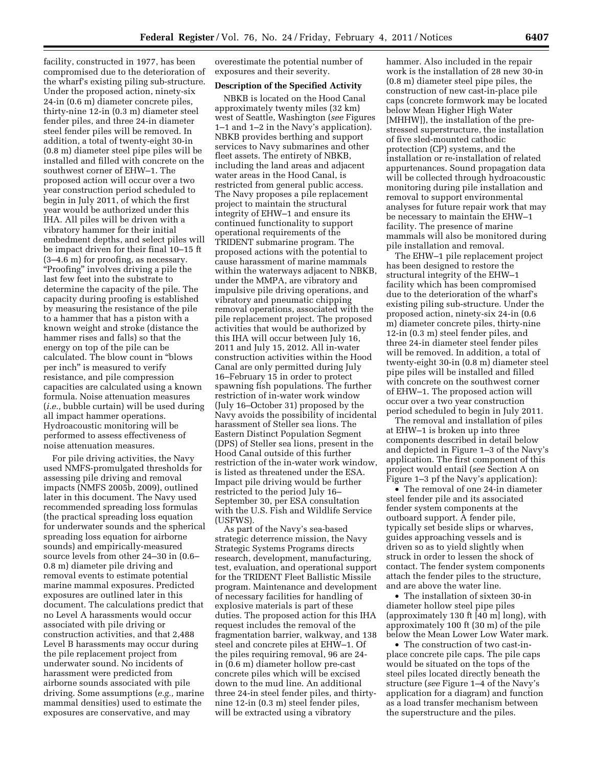facility, constructed in 1977, has been compromised due to the deterioration of the wharf's existing piling sub-structure. Under the proposed action, ninety-six 24-in (0.6 m) diameter concrete piles, thirty-nine 12-in (0.3 m) diameter steel fender piles, and three 24-in diameter steel fender piles will be removed. In addition, a total of twenty-eight 30-in (0.8 m) diameter steel pipe piles will be installed and filled with concrete on the southwest corner of EHW–1. The proposed action will occur over a two year construction period scheduled to begin in July 2011, of which the first year would be authorized under this IHA. All piles will be driven with a vibratory hammer for their initial embedment depths, and select piles will be impact driven for their final 10–15 ft (3–4.6 m) for proofing, as necessary. ''Proofing'' involves driving a pile the last few feet into the substrate to determine the capacity of the pile. The capacity during proofing is established by measuring the resistance of the pile to a hammer that has a piston with a known weight and stroke (distance the hammer rises and falls) so that the energy on top of the pile can be calculated. The blow count in ''blows per inch'' is measured to verify resistance, and pile compression capacities are calculated using a known formula. Noise attenuation measures (*i.e.,* bubble curtain) will be used during all impact hammer operations. Hydroacoustic monitoring will be performed to assess effectiveness of noise attenuation measures.

For pile driving activities, the Navy used NMFS-promulgated thresholds for assessing pile driving and removal impacts (NMFS 2005b, 2009), outlined later in this document. The Navy used recommended spreading loss formulas (the practical spreading loss equation for underwater sounds and the spherical spreading loss equation for airborne sounds) and empirically-measured source levels from other 24–30 in (0.6– 0.8 m) diameter pile driving and removal events to estimate potential marine mammal exposures. Predicted exposures are outlined later in this document. The calculations predict that no Level A harassments would occur associated with pile driving or construction activities, and that 2,488 Level B harassments may occur during the pile replacement project from underwater sound. No incidents of harassment were predicted from airborne sounds associated with pile driving. Some assumptions (*e.g.,* marine mammal densities) used to estimate the exposures are conservative, and may

overestimate the potential number of exposures and their severity.

## **Description of the Specified Activity**

NBKB is located on the Hood Canal approximately twenty miles (32 km) west of Seattle, Washington (*see* Figures 1–1 and 1–2 in the Navy's application). NBKB provides berthing and support services to Navy submarines and other fleet assets. The entirety of NBKB, including the land areas and adjacent water areas in the Hood Canal, is restricted from general public access. The Navy proposes a pile replacement project to maintain the structural integrity of EHW–1 and ensure its continued functionality to support operational requirements of the TRIDENT submarine program. The proposed actions with the potential to cause harassment of marine mammals within the waterways adjacent to NBKB, under the MMPA, are vibratory and impulsive pile driving operations, and vibratory and pneumatic chipping removal operations, associated with the pile replacement project. The proposed activities that would be authorized by this IHA will occur between July 16, 2011 and July 15, 2012. All in-water construction activities within the Hood Canal are only permitted during July 16–February 15 in order to protect spawning fish populations. The further restriction of in-water work window (July 16–October 31) proposed by the Navy avoids the possibility of incidental harassment of Steller sea lions. The Eastern Distinct Population Segment (DPS) of Steller sea lions, present in the Hood Canal outside of this further restriction of the in-water work window, is listed as threatened under the ESA. Impact pile driving would be further restricted to the period July 16– September 30, per ESA consultation with the U.S. Fish and Wildlife Service (USFWS).

As part of the Navy's sea-based strategic deterrence mission, the Navy Strategic Systems Programs directs research, development, manufacturing, test, evaluation, and operational support for the TRIDENT Fleet Ballistic Missile program. Maintenance and development of necessary facilities for handling of explosive materials is part of these duties. The proposed action for this IHA request includes the removal of the fragmentation barrier, walkway, and 138 steel and concrete piles at EHW–1. Of the piles requiring removal, 96 are 24 in (0.6 m) diameter hollow pre-cast concrete piles which will be excised down to the mud line. An additional three 24-in steel fender piles, and thirtynine 12-in (0.3 m) steel fender piles, will be extracted using a vibratory

hammer. Also included in the repair work is the installation of 28 new 30-in (0.8 m) diameter steel pipe piles, the construction of new cast-in-place pile caps (concrete formwork may be located below Mean Higher High Water [MHHW]), the installation of the prestressed superstructure, the installation of five sled-mounted cathodic protection (CP) systems, and the installation or re-installation of related appurtenances. Sound propagation data will be collected through hydroacoustic monitoring during pile installation and removal to support environmental analyses for future repair work that may be necessary to maintain the EHW–1 facility. The presence of marine mammals will also be monitored during pile installation and removal.

The EHW–1 pile replacement project has been designed to restore the structural integrity of the EHW–1 facility which has been compromised due to the deterioration of the wharf's existing piling sub-structure. Under the proposed action, ninety-six 24-in (0.6 m) diameter concrete piles, thirty-nine 12-in (0.3 m) steel fender piles, and three 24-in diameter steel fender piles will be removed. In addition, a total of twenty-eight 30-in (0.8 m) diameter steel pipe piles will be installed and filled with concrete on the southwest corner of EHW–1. The proposed action will occur over a two year construction period scheduled to begin in July 2011.

The removal and installation of piles at EHW–1 is broken up into three components described in detail below and depicted in Figure 1–3 of the Navy's application. The first component of this project would entail (*see* Section A on Figure 1–3 pf the Navy's application):

• The removal of one 24-in diameter steel fender pile and its associated fender system components at the outboard support. A fender pile, typically set beside slips or wharves, guides approaching vessels and is driven so as to yield slightly when struck in order to lessen the shock of contact. The fender system components attach the fender piles to the structure, and are above the water line.

• The installation of sixteen 30-in diameter hollow steel pipe piles (approximately 130 ft [40 m] long), with approximately 100 ft (30 m) of the pile below the Mean Lower Low Water mark.

• The construction of two cast-inplace concrete pile caps. The pile caps would be situated on the tops of the steel piles located directly beneath the structure (*see* Figure 1–4 of the Navy's application for a diagram) and function as a load transfer mechanism between the superstructure and the piles.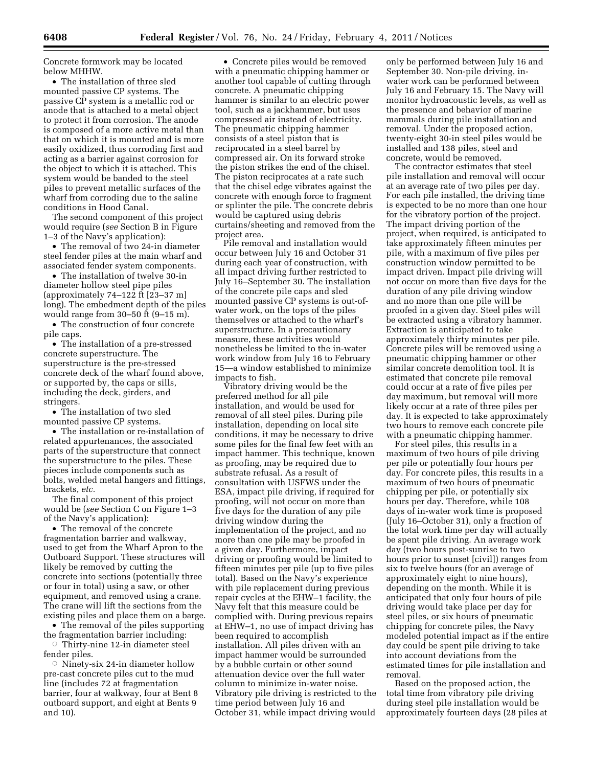Concrete formwork may be located below MHHW.

• The installation of three sled mounted passive CP systems. The passive CP system is a metallic rod or anode that is attached to a metal object to protect it from corrosion. The anode is composed of a more active metal than that on which it is mounted and is more easily oxidized, thus corroding first and acting as a barrier against corrosion for the object to which it is attached. This system would be banded to the steel piles to prevent metallic surfaces of the wharf from corroding due to the saline conditions in Hood Canal.

The second component of this project would require (*see* Section B in Figure 1–3 of the Navy's application):

• The removal of two 24-in diameter steel fender piles at the main wharf and associated fender system components.

• The installation of twelve 30-in diameter hollow steel pipe piles (approximately 74–122 ft [23–37 m] long). The embedment depth of the piles would range from 30–50 ft (9–15 m).

• The construction of four concrete pile caps.

• The installation of a pre-stressed concrete superstructure. The superstructure is the pre-stressed concrete deck of the wharf found above, or supported by, the caps or sills, including the deck, girders, and stringers.

• The installation of two sled mounted passive CP systems.

• The installation or re-installation of related appurtenances, the associated parts of the superstructure that connect the superstructure to the piles. These pieces include components such as bolts, welded metal hangers and fittings, brackets, *etc.* 

The final component of this project would be (*see* Section C on Figure 1–3 of the Navy's application):

• The removal of the concrete fragmentation barrier and walkway, used to get from the Wharf Apron to the Outboard Support. These structures will likely be removed by cutting the concrete into sections (potentially three or four in total) using a saw, or other equipment, and removed using a crane. The crane will lift the sections from the existing piles and place them on a barge.

• The removal of the piles supporting the fragmentation barrier including:  $\circ$  Thirty-nine 12-in diameter steel

fender piles.

 $\circ$  Ninety-six 24-in diameter hollow pre-cast concrete piles cut to the mud line (includes 72 at fragmentation barrier, four at walkway, four at Bent 8 outboard support, and eight at Bents 9 and 10).

• Concrete piles would be removed with a pneumatic chipping hammer or another tool capable of cutting through concrete. A pneumatic chipping hammer is similar to an electric power tool, such as a jackhammer, but uses compressed air instead of electricity. The pneumatic chipping hammer consists of a steel piston that is reciprocated in a steel barrel by compressed air. On its forward stroke the piston strikes the end of the chisel. The piston reciprocates at a rate such that the chisel edge vibrates against the concrete with enough force to fragment or splinter the pile. The concrete debris would be captured using debris curtains/sheeting and removed from the project area.

Pile removal and installation would occur between July 16 and October 31 during each year of construction, with all impact driving further restricted to July 16–September 30. The installation of the concrete pile caps and sled mounted passive CP systems is out-ofwater work, on the tops of the piles themselves or attached to the wharf's superstructure. In a precautionary measure, these activities would nonetheless be limited to the in-water work window from July 16 to February 15—a window established to minimize impacts to fish.

Vibratory driving would be the preferred method for all pile installation, and would be used for removal of all steel piles. During pile installation, depending on local site conditions, it may be necessary to drive some piles for the final few feet with an impact hammer. This technique, known as proofing, may be required due to substrate refusal. As a result of consultation with USFWS under the ESA, impact pile driving, if required for proofing, will not occur on more than five days for the duration of any pile driving window during the implementation of the project, and no more than one pile may be proofed in a given day. Furthermore, impact driving or proofing would be limited to fifteen minutes per pile (up to five piles total). Based on the Navy's experience with pile replacement during previous repair cycles at the EHW–1 facility, the Navy felt that this measure could be complied with. During previous repairs at EHW–1, no use of impact driving has been required to accomplish installation. All piles driven with an impact hammer would be surrounded by a bubble curtain or other sound attenuation device over the full water column to minimize in-water noise. Vibratory pile driving is restricted to the time period between July 16 and October 31, while impact driving would

only be performed between July 16 and September 30. Non-pile driving, inwater work can be performed between July 16 and February 15. The Navy will monitor hydroacoustic levels, as well as the presence and behavior of marine mammals during pile installation and removal. Under the proposed action, twenty-eight 30-in steel piles would be installed and 138 piles, steel and concrete, would be removed.

The contractor estimates that steel pile installation and removal will occur at an average rate of two piles per day. For each pile installed, the driving time is expected to be no more than one hour for the vibratory portion of the project. The impact driving portion of the project, when required, is anticipated to take approximately fifteen minutes per pile, with a maximum of five piles per construction window permitted to be impact driven. Impact pile driving will not occur on more than five days for the duration of any pile driving window and no more than one pile will be proofed in a given day. Steel piles will be extracted using a vibratory hammer. Extraction is anticipated to take approximately thirty minutes per pile. Concrete piles will be removed using a pneumatic chipping hammer or other similar concrete demolition tool. It is estimated that concrete pile removal could occur at a rate of five piles per day maximum, but removal will more likely occur at a rate of three piles per day. It is expected to take approximately two hours to remove each concrete pile with a pneumatic chipping hammer.

For steel piles, this results in a maximum of two hours of pile driving per pile or potentially four hours per day. For concrete piles, this results in a maximum of two hours of pneumatic chipping per pile, or potentially six hours per day. Therefore, while 108 days of in-water work time is proposed (July 16–October 31), only a fraction of the total work time per day will actually be spent pile driving. An average work day (two hours post-sunrise to two hours prior to sunset [civil]) ranges from six to twelve hours (for an average of approximately eight to nine hours), depending on the month. While it is anticipated that only four hours of pile driving would take place per day for steel piles, or six hours of pneumatic chipping for concrete piles, the Navy modeled potential impact as if the entire day could be spent pile driving to take into account deviations from the estimated times for pile installation and removal.

Based on the proposed action, the total time from vibratory pile driving during steel pile installation would be approximately fourteen days (28 piles at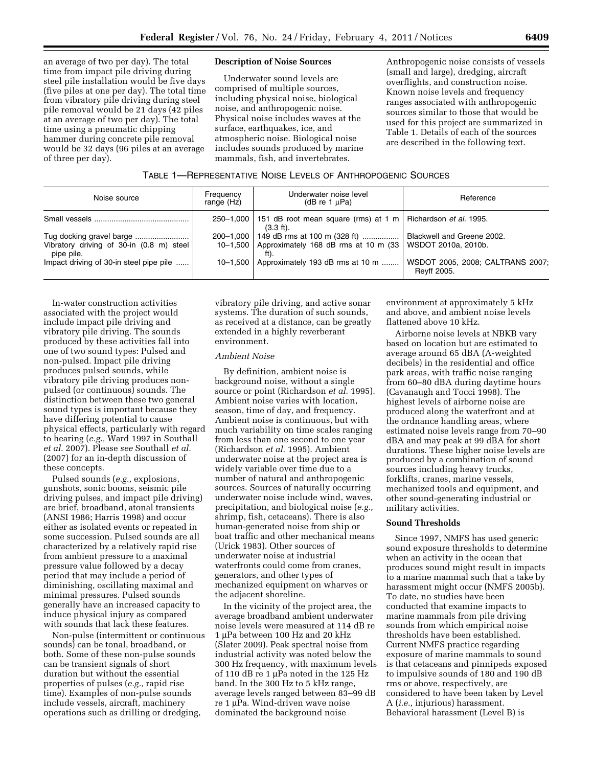an average of two per day). The total time from impact pile driving during steel pile installation would be five days (five piles at one per day). The total time from vibratory pile driving during steel pile removal would be 21 days (42 piles at an average of two per day). The total time using a pneumatic chipping hammer during concrete pile removal would be 32 days (96 piles at an average of three per day).

#### **Description of Noise Sources**

Underwater sound levels are comprised of multiple sources, including physical noise, biological noise, and anthropogenic noise. Physical noise includes waves at the surface, earthquakes, ice, and atmospheric noise. Biological noise includes sounds produced by marine mammals, fish, and invertebrates.

Anthropogenic noise consists of vessels (small and large), dredging, aircraft overflights, and construction noise. Known noise levels and frequency ranges associated with anthropogenic sources similar to those that would be used for this project are summarized in Table 1. Details of each of the sources are described in the following text.

| <b>TABLE 1-REPRESENTATIVE NOISE LEVELS OF ANTHROPOGENIC SOURCES</b> |  |
|---------------------------------------------------------------------|--|
|---------------------------------------------------------------------|--|

| Noise source                                           | Frequency<br>range (Hz) | Underwater noise level<br>( $dB$ re 1 $\mu$ Pa)                                                           | Reference                                       |
|--------------------------------------------------------|-------------------------|-----------------------------------------------------------------------------------------------------------|-------------------------------------------------|
|                                                        |                         | 250–1,000   151 dB root mean square (rms) at 1 m   Richardson <i>et al.</i> 1995.<br>$(3.3 \text{ ft})$ . |                                                 |
|                                                        |                         | 200-1,000 149 dB rms at 100 m (328 ft)                                                                    | Blackwell and Greene 2002.                      |
| Vibratory driving of 30-in (0.8 m) steel<br>pipe pile. |                         | 10-1,500   Approximately 168 dB rms at 10 m $(33)$<br>ft).                                                | WSDOT 2010a, 2010b.                             |
| Impact driving of 30-in steel pipe pile                | $10 - 1.500$            | Approximately 193 dB rms at 10 m                                                                          | WSDOT 2005, 2008; CALTRANS 2007;<br>Reyff 2005. |

In-water construction activities associated with the project would include impact pile driving and vibratory pile driving. The sounds produced by these activities fall into one of two sound types: Pulsed and non-pulsed. Impact pile driving produces pulsed sounds, while vibratory pile driving produces nonpulsed (or continuous) sounds. The distinction between these two general sound types is important because they have differing potential to cause physical effects, particularly with regard to hearing (*e.g.,* Ward 1997 in Southall *et al.* 2007). Please *see* Southall *et al.*  (2007) for an in-depth discussion of these concepts.

Pulsed sounds (*e.g.,* explosions, gunshots, sonic booms, seismic pile driving pulses, and impact pile driving) are brief, broadband, atonal transients (ANSI 1986; Harris 1998) and occur either as isolated events or repeated in some succession. Pulsed sounds are all characterized by a relatively rapid rise from ambient pressure to a maximal pressure value followed by a decay period that may include a period of diminishing, oscillating maximal and minimal pressures. Pulsed sounds generally have an increased capacity to induce physical injury as compared with sounds that lack these features.

Non-pulse (intermittent or continuous sounds) can be tonal, broadband, or both. Some of these non-pulse sounds can be transient signals of short duration but without the essential properties of pulses (*e.g.,* rapid rise time). Examples of non-pulse sounds include vessels, aircraft, machinery operations such as drilling or dredging,

vibratory pile driving, and active sonar systems. The duration of such sounds, as received at a distance, can be greatly extended in a highly reverberant environment.

# *Ambient Noise*

By definition, ambient noise is background noise, without a single source or point (Richardson *et al.* 1995). Ambient noise varies with location, season, time of day, and frequency. Ambient noise is continuous, but with much variability on time scales ranging from less than one second to one year (Richardson *et al.* 1995). Ambient underwater noise at the project area is widely variable over time due to a number of natural and anthropogenic sources. Sources of naturally occurring underwater noise include wind, waves, precipitation, and biological noise (*e.g.,*  shrimp, fish, cetaceans). There is also human-generated noise from ship or boat traffic and other mechanical means (Urick 1983). Other sources of underwater noise at industrial waterfronts could come from cranes, generators, and other types of mechanized equipment on wharves or the adjacent shoreline.

In the vicinity of the project area, the average broadband ambient underwater noise levels were measured at 114 dB re 1 μPa between 100 Hz and 20 kHz (Slater 2009). Peak spectral noise from industrial activity was noted below the 300 Hz frequency, with maximum levels of 110 dB re 1 μPa noted in the 125 Hz band. In the 300 Hz to 5 kHz range, average levels ranged between 83–99 dB re 1 μPa. Wind-driven wave noise dominated the background noise

environment at approximately 5 kHz and above, and ambient noise levels flattened above 10 kHz.

Airborne noise levels at NBKB vary based on location but are estimated to average around 65 dBA (A-weighted decibels) in the residential and office park areas, with traffic noise ranging from 60–80 dBA during daytime hours (Cavanaugh and Tocci 1998). The highest levels of airborne noise are produced along the waterfront and at the ordnance handling areas, where estimated noise levels range from 70–90 dBA and may peak at 99 dBA for short durations. These higher noise levels are produced by a combination of sound sources including heavy trucks, forklifts, cranes, marine vessels, mechanized tools and equipment, and other sound-generating industrial or military activities.

#### **Sound Thresholds**

Since 1997, NMFS has used generic sound exposure thresholds to determine when an activity in the ocean that produces sound might result in impacts to a marine mammal such that a take by harassment might occur (NMFS 2005b). To date, no studies have been conducted that examine impacts to marine mammals from pile driving sounds from which empirical noise thresholds have been established. Current NMFS practice regarding exposure of marine mammals to sound is that cetaceans and pinnipeds exposed to impulsive sounds of 180 and 190 dB rms or above, respectively, are considered to have been taken by Level A (*i.e.,* injurious) harassment. Behavioral harassment (Level B) is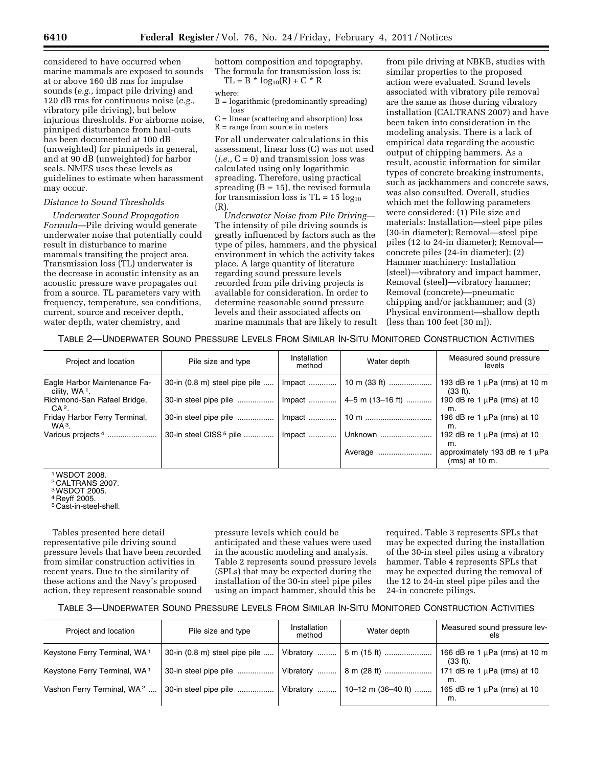considered to have occurred when marine mammals are exposed to sounds at or above 160 dB rms for impulse sounds (*e.g.,* impact pile driving) and 120 dB rms for continuous noise (*e.g.,*  vibratory pile driving), but below injurious thresholds. For airborne noise, pinniped disturbance from haul-outs has been documented at 100 dB (unweighted) for pinnipeds in general, and at 90 dB (unweighted) for harbor seals. NMFS uses these levels as guidelines to estimate when harassment may occur.

# *Distance to Sound Thresholds*

*Underwater Sound Propagation Formula*—Pile driving would generate underwater noise that potentially could result in disturbance to marine mammals transiting the project area. Transmission loss (TL) underwater is the decrease in acoustic intensity as an acoustic pressure wave propagates out from a source. TL parameters vary with frequency, temperature, sea conditions, current, source and receiver depth, water depth, water chemistry, and

bottom composition and topography. The formula for transmission loss is:  $TL = B * log_{10}(R) + C * R$ 

### where:

B = logarithmic (predominantly spreading) loss

C = linear (scattering and absorption) loss  $R = range from source in meters$ 

For all underwater calculations in this assessment, linear loss (C) was not used  $(i.e., C = 0)$  and transmission loss was calculated using only logarithmic spreading. Therefore, using practical spreading  $(B = 15)$ , the revised formula for transmission loss is  $TL = 15 log_{10}$ (R).

*Underwater Noise from Pile Driving*— The intensity of pile driving sounds is greatly influenced by factors such as the type of piles, hammers, and the physical environment in which the activity takes place. A large quantity of literature regarding sound pressure levels recorded from pile driving projects is available for consideration. In order to determine reasonable sound pressure levels and their associated affects on marine mammals that are likely to result

from pile driving at NBKB, studies with similar properties to the proposed action were evaluated. Sound levels associated with vibratory pile removal are the same as those during vibratory installation (CALTRANS 2007) and have been taken into consideration in the modeling analysis. There is a lack of empirical data regarding the acoustic output of chipping hammers. As a result, acoustic information for similar types of concrete breaking instruments, such as jackhammers and concrete saws, was also consulted. Overall, studies which met the following parameters were considered: (1) Pile size and materials: Installation—steel pipe piles (30-in diameter); Removal—steel pipe piles (12 to 24-in diameter); Removal concrete piles (24-in diameter); (2) Hammer machinery: Installation (steel)—vibratory and impact hammer, Removal (steel)—vibratory hammer; Removal (concrete)—pneumatic chipping and/or jackhammer; and (3) Physical environment—shallow depth (less than 100 feet [30 m]).

TABLE 2—UNDERWATER SOUND PRESSURE LEVELS FROM SIMILAR IN-SITU MONITORED CONSTRUCTION ACTIVITIES

| Project and location                                      | Pile size and type                 | Installation<br>method | Water depth              | Measured sound pressure<br>levels                      |
|-----------------------------------------------------------|------------------------------------|------------------------|--------------------------|--------------------------------------------------------|
| Eagle Harbor Maintenance Fa-<br>cility, WA <sup>1</sup> . | 30-in (0.8 m) steel pipe pile      | $Im$ pact              | 10 m (33 ft)             | 193 dB re 1 $\mu$ Pa (rms) at 10 m<br>$(33 ft)$ .      |
| Richmond-San Rafael Bridge,<br>CA <sup>2</sup> .          | 30-in steel pipe pile              |                        | Impact  4–5 m (13–16 ft) | 190 dB re 1 $\mu$ Pa (rms) at 10<br>m.                 |
| Friday Harbor Ferry Terminal,<br>$WA3$ .                  | 30-in steel pipe pile              |                        |                          | 196 dB re 1 $\mu$ Pa (rms) at 10<br>m.                 |
| Various projects <sup>4</sup>                             | 30-in steel CISS <sup>5</sup> pile | $Im$ pact              | Unknown                  | 192 dB re 1 $\mu$ Pa (rms) at 10<br>m.                 |
|                                                           |                                    |                        | Average                  | approximately 193 dB re 1 $\mu$ Pa<br>$(rms)$ at 10 m. |

1WSDOT 2008.

2 CALTRANS 2007.

3WSDOT 2005.

4 Reyff 2005.

5 Cast-in-steel-shell.

Tables presented here detail representative pile driving sound pressure levels that have been recorded from similar construction activities in recent years. Due to the similarity of these actions and the Navy's proposed action, they represent reasonable sound pressure levels which could be anticipated and these values were used in the acoustic modeling and analysis. Table 2 represents sound pressure levels (SPLs) that may be expected during the installation of the 30-in steel pipe piles using an impact hammer, should this be

required. Table 3 represents SPLs that may be expected during the installation of the 30-in steel piles using a vibratory hammer. Table 4 represents SPLs that may be expected during the removal of the 12 to 24-in steel pipe piles and the 24-in concrete pilings.

# TABLE 3—UNDERWATER SOUND PRESSURE LEVELS FROM SIMILAR IN-SITU MONITORED CONSTRUCTION ACTIVITIES

| Project and location                     | Pile size and type            | Installation<br>method | Water depth                     | Measured sound pressure lev-<br>els            |
|------------------------------------------|-------------------------------|------------------------|---------------------------------|------------------------------------------------|
| Keystone Ferry Terminal, WA <sup>1</sup> | 30-in (0.8 m) steel pipe pile | Vibratory              | $5 \text{ m}$ (15 ft)           | 166 dB re 1 $\mu$ Pa (rms) at 10 m<br>(33 ft). |
| Keystone Ferry Terminal, WA <sup>1</sup> | 30-in steel pipe pile         |                        | Vibratory  8 m (28 ft)          | 171 dB re 1 $\mu$ Pa (rms) at 10<br>m.         |
| Vashon Ferry Terminal, WA <sup>2</sup>   | 30-in steel pipe pile         |                        | Vibratory    10–12 m (36–40 ft) | 165 dB re 1 $\mu$ Pa (rms) at 10<br>m.         |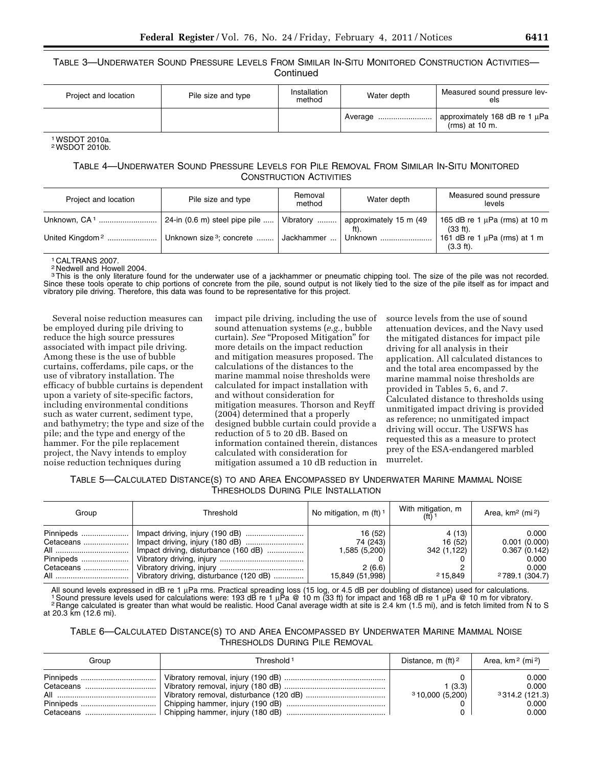TABLE 3—UNDERWATER SOUND PRESSURE LEVELS FROM SIMILAR IN-SITU MONITORED CONSTRUCTION ACTIVITIES— **Continued** 

| Project and location | Pile size and type | Installation<br>method | Water depth | Measured sound pressure lev-<br>els                    |
|----------------------|--------------------|------------------------|-------------|--------------------------------------------------------|
|                      |                    |                        |             | approximately 168 dB re 1 $\mu$ Pa<br>$(rms)$ at 10 m. |

#### 1WSDOT 2010a. 2WSDOT 2010b.

# TABLE 4—UNDERWATER SOUND PRESSURE LEVELS FOR PILE REMOVAL FROM SIMILAR IN-SITU MONITORED CONSTRUCTION ACTIVITIES

| Project and location        | Pile size and type                    | Removal<br>method | Water depth            | Measured sound pressure<br>levels                         |
|-----------------------------|---------------------------------------|-------------------|------------------------|-----------------------------------------------------------|
| Unknown. CA <sup>1</sup>    | $\vert$ 24-in (0.6 m) steel pipe pile | Vibratory  I      | approximately 15 m (49 | 165 dB re 1 $\mu$ Pa (rms) at 10 m<br>$(33 ft)$ .         |
| United Kingdom <sup>2</sup> | Unknown size <sup>3</sup> ; concrete  | Jackhammer  I     | Unknown                | 161 dB re 1 $\mu$ Pa (rms) at 1 m<br>$(3.3 \text{ ft})$ . |

CALTRANS 2007.

2 Nedwell and Howell 2004.

<sup>3</sup>This is the only literature found for the underwater use of a jackhammer or pneumatic chipping tool. The size of the pile was not recorded. Since these tools operate to chip portions of concrete from the pile, sound output is not likely tied to the size of the pile itself as for impact and vibratory pile driving. Therefore, this data was found to be representative for this project.

Several noise reduction measures can be employed during pile driving to reduce the high source pressures associated with impact pile driving. Among these is the use of bubble curtains, cofferdams, pile caps, or the use of vibratory installation. The efficacy of bubble curtains is dependent upon a variety of site-specific factors, including environmental conditions such as water current, sediment type, and bathymetry; the type and size of the pile; and the type and energy of the hammer. For the pile replacement project, the Navy intends to employ noise reduction techniques during

impact pile driving, including the use of sound attenuation systems (*e.g.,* bubble curtain). *See* "Proposed Mitigation" for more details on the impact reduction and mitigation measures proposed. The calculations of the distances to the marine mammal noise thresholds were calculated for impact installation with and without consideration for mitigation measures. Thorson and Reyff (2004) determined that a properly designed bubble curtain could provide a reduction of 5 to 20 dB. Based on information contained therein, distances calculated with consideration for mitigation assumed a 10 dB reduction in

source levels from the use of sound attenuation devices, and the Navy used the mitigated distances for impact pile driving for all analysis in their application. All calculated distances to and the total area encompassed by the marine mammal noise thresholds are provided in Tables 5, 6, and 7. Calculated distance to thresholds using unmitigated impact driving is provided as reference; no unmitigated impact driving will occur. The USFWS has requested this as a measure to protect prey of the ESA-endangered marbled murrelet.

TABLE 5—CALCULATED DISTANCE(S) TO AND AREA ENCOMPASSED BY UNDERWATER MARINE MAMMAL NOISE THRESHOLDS DURING PILE INSTALLATION

| Group                               | Threshold                                                                         | No mitigation, $m$ (ft) <sup>1</sup>                              | With mitigation, m<br>$(f+)$ 1              | Area, $km^2$ (mi <sup>2</sup> )                                                       |
|-------------------------------------|-----------------------------------------------------------------------------------|-------------------------------------------------------------------|---------------------------------------------|---------------------------------------------------------------------------------------|
| Pinnipeds<br>Cetaceans<br>Cetaceans | Impact driving, disturbance (160 dB)<br>  Vibratory driving, disturbance (120 dB) | 16 (52)<br>74 (243)<br>1,585 (5,200)<br>2(6.6)<br>15,849 (51,998) | 4 (13)<br>16 (52)<br>342 (1,122)<br>215,849 | 0.000<br>0.001(0.000)<br>0.367(0.142)<br>0.000<br>0.000<br><sup>2</sup> 789.1 (304.7) |

All sound levels expressed in dB re 1 μPa rms. Practical spreading loss (15 log, or 4.5 dB per doubling of distance) used for calculations.<br>1 Sound pressure levels used for calculations were: 193 dB re 1 μPa @ 10 m (33 ft at 20.3 km (12.6 mi).

TABLE 6—CALCULATED DISTANCE(S) TO AND AREA ENCOMPASSED BY UNDERWATER MARINE MAMMAL NOISE THRESHOLDS DURING PILE REMOVAL

| Group | Threshold <sup>1</sup> | Distance, m $(ft)^2$    | Area, km <sup>2</sup> (mi <sup>2</sup> )          |
|-------|------------------------|-------------------------|---------------------------------------------------|
|       |                        | (3.3)<br>310,000(5,200) | 0.000<br>0.000<br>3314.2(121.3)<br>0.000<br>0.000 |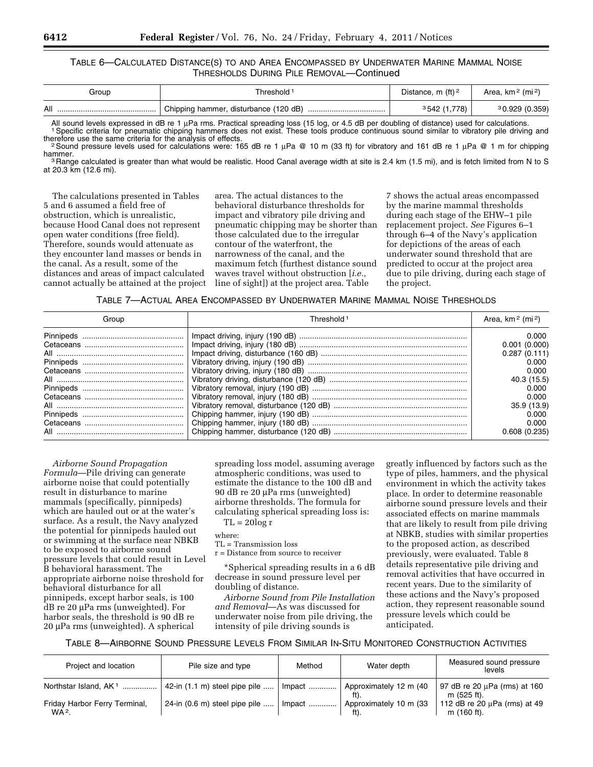# TABLE 6—CALCULATED DISTANCE(S) TO AND AREA ENCOMPASSED BY UNDERWATER MARINE MAMMAL NOISE THRESHOLDS DURING PILE REMOVAL—Continued

| Group | 「hreshold <sup>」</sup>                | Distance, m $(ft)^2$                   | Area, $km^2$ (mi <sup>2</sup> ) |
|-------|---------------------------------------|----------------------------------------|---------------------------------|
| All   | Chipping hammer, disturbance (120 dB) | . ı .778) $^+$<br><sup>3</sup> 542 (1. | 30.929(0.359)                   |

All sound levels expressed in dB re 1 µPa rms. Practical spreading loss (15 log, or 4.5 dB per doubling of distance) used for calculations.<br><sup>1</sup> Specific criteria for pneumatic chipping hammers does not exist. These tools p

 $\frac{25}{10}$  Sound pressure levels used for calculations were: 165 dB re 1 μPa @ 10 m (33 ft) for vibratory and 161 dB re 1 μPa @ 1 m for chipping hammer.

<sup>3</sup> Range calculated is greater than what would be realistic. Hood Canal average width at site is 2.4 km (1.5 mi), and is fetch limited from N to S at 20.3 km (12.6 mi).

The calculations presented in Tables 5 and 6 assumed a field free of obstruction, which is unrealistic, because Hood Canal does not represent open water conditions (free field). Therefore, sounds would attenuate as they encounter land masses or bends in the canal. As a result, some of the distances and areas of impact calculated cannot actually be attained at the project

area. The actual distances to the behavioral disturbance thresholds for impact and vibratory pile driving and pneumatic chipping may be shorter than those calculated due to the irregular contour of the waterfront, the narrowness of the canal, and the maximum fetch (furthest distance sound waves travel without obstruction [*i.e.,*  line of sight]) at the project area. Table

7 shows the actual areas encompassed by the marine mammal thresholds during each stage of the EHW–1 pile replacement project. *See* Figures 6–1 through 6–4 of the Navy's application for depictions of the areas of each underwater sound threshold that are predicted to occur at the project area due to pile driving, during each stage of the project.

TABLE 7—ACTUAL AREA ENCOMPASSED BY UNDERWATER MARINE MAMMAL NOISE THRESHOLDS

| Group | Threshold 1 | Area, $km^2$ (mi <sup>2</sup> ) |
|-------|-------------|---------------------------------|
|       |             | 0.000                           |
|       |             | 0.001(0.000)<br>0.287(0.111)    |
|       |             | 0.000<br>0.000                  |
|       |             | 40.3 (15.5)                     |
|       |             | 0.000<br>0.000                  |
|       |             | 35.9(13.9)<br>0.000             |
|       |             | 0.000                           |
|       |             | 0.608(0.235)                    |

*Airborne Sound Propagation Formula*—Pile driving can generate airborne noise that could potentially result in disturbance to marine mammals (specifically, pinnipeds) which are hauled out or at the water's surface. As a result, the Navy analyzed the potential for pinnipeds hauled out or swimming at the surface near NBKB to be exposed to airborne sound pressure levels that could result in Level B behavioral harassment. The appropriate airborne noise threshold for behavioral disturbance for all pinnipeds, except harbor seals, is 100 dB re 20 μPa rms (unweighted). For harbor seals, the threshold is 90 dB re 20 μPa rms (unweighted). A spherical

spreading loss model, assuming average atmospheric conditions, was used to estimate the distance to the 100 dB and 90 dB re 20 μPa rms (unweighted) airborne thresholds. The formula for calculating spherical spreading loss is:  $TL = 20log r$ 

# where:

TL = Transmission loss

r = Distance from source to receiver

\*Spherical spreading results in a 6 dB decrease in sound pressure level per doubling of distance.

*Airborne Sound from Pile Installation and Removal*—As was discussed for underwater noise from pile driving, the intensity of pile driving sounds is

greatly influenced by factors such as the type of piles, hammers, and the physical environment in which the activity takes place. In order to determine reasonable airborne sound pressure levels and their associated effects on marine mammals that are likely to result from pile driving at NBKB, studies with similar properties to the proposed action, as described previously, were evaluated. Table 8 details representative pile driving and removal activities that have occurred in recent years. Due to the similarity of these actions and the Navy's proposed action, they represent reasonable sound pressure levels which could be anticipated.

# TABLE 8—AIRBORNE SOUND PRESSURE LEVELS FROM SIMILAR IN-SITU MONITORED CONSTRUCTION ACTIVITIES

| Project and location                               | Pile size and type                         | Method | Water depth                    | Measured sound pressure<br>levels                |
|----------------------------------------------------|--------------------------------------------|--------|--------------------------------|--------------------------------------------------|
| Northstar Island, AK <sup>1</sup>                  | $\vert$ 42-in (1.1 m) steel pipe pile      | Impact | Approximately 12 m (40<br>ft). | 97 dB re 20 µPa (rms) at 160<br>m (525 ft).      |
| Friday Harbor Ferry Terminal,<br>WA <sup>2</sup> . | $24$ -in $(0.6 \text{ m})$ steel pipe pile | Impact | Approximately 10 m (33<br>ft). | 112 dB re 20 $\mu$ Pa (rms) at 49<br>m (160 ft). |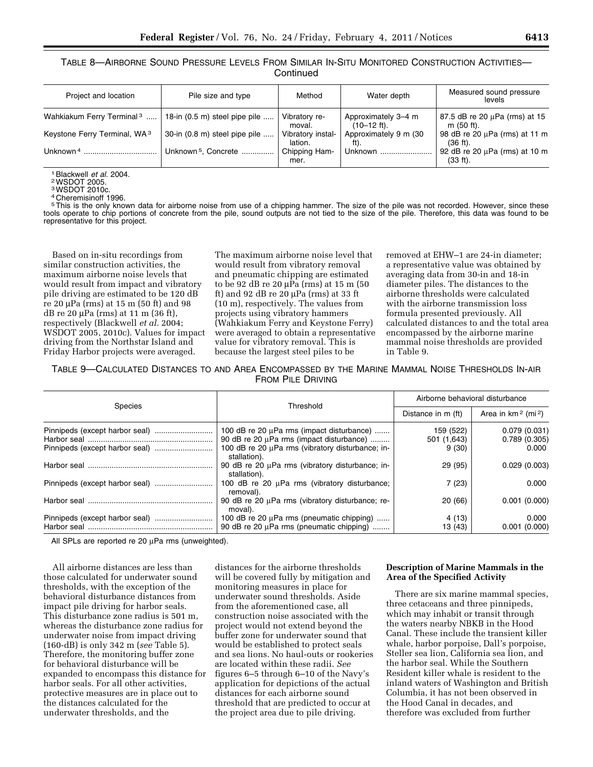TABLE 8—AIRBORNE SOUND PRESSURE LEVELS FROM SIMILAR IN-SITU MONITORED CONSTRUCTION ACTIVITIES— **Continued** 

| Project and location                     | Pile size and type                      | Method                       | Water depth                          | Measured sound pressure<br>levels            |
|------------------------------------------|-----------------------------------------|------------------------------|--------------------------------------|----------------------------------------------|
| Wahkiakum Ferry Terminal <sup>3</sup>    | 18-in $(0.5 \text{ m})$ steel pipe pile | Vibratory re-<br>moval.      | Approximately 3-4 m<br>$(10-12$ ft). | 87.5 dB re 20 µPa (rms) at 15<br>m (50 ft).  |
| Keystone Ferry Terminal, WA <sup>3</sup> | 30-in (0.8 m) steel pipe pile           | Vibratory instal-<br>lation. | Approximately 9 m (30<br>ft).        | 98 dB re 20 µPa (rms) at 11 m<br>$(36 ft)$ . |
| Unknown <sup>4</sup>                     | Unknown <sup>5</sup> , Concrete         | Chipping Ham-<br>mer.        | <b>Unknown</b>                       | 92 dB re 20 µPa (rms) at 10 m<br>(33 ft).    |

1Blackwell *et al.* 2004. 2WSDOT 2005.

3WSDOT 2010c.

4 Cheremisinoff 1996.

5This is the only known data for airborne noise from use of a chipping hammer. The size of the pile was not recorded. However, since these tools operate to chip portions of concrete from the pile, sound outputs are not tied to the size of the pile. Therefore, this data was found to be representative for this project.

Based on in-situ recordings from similar construction activities, the maximum airborne noise levels that would result from impact and vibratory pile driving are estimated to be 120 dB re 20 μPa (rms) at 15 m (50 ft) and 98 dB re 20 μPa (rms) at 11 m (36 ft), respectively (Blackwell *et al.* 2004; WSDOT 2005, 2010c). Values for impact driving from the Northstar Island and Friday Harbor projects were averaged.

The maximum airborne noise level that would result from vibratory removal and pneumatic chipping are estimated to be 92 dB re 20 μPa (rms) at 15 m (50 ft) and 92 dB re 20 μPa (rms) at 33 ft (10 m), respectively. The values from projects using vibratory hammers (Wahkiakum Ferry and Keystone Ferry) were averaged to obtain a representative value for vibratory removal. This is because the largest steel piles to be

removed at EHW–1 are 24-in diameter; a representative value was obtained by averaging data from 30-in and 18-in diameter piles. The distances to the airborne thresholds were calculated with the airborne transmission loss formula presented previously. All calculated distances to and the total area encompassed by the airborne marine mammal noise thresholds are provided in Table 9.

TABLE 9—CALCULATED DISTANCES TO AND AREA ENCOMPASSED BY THE MARINE MAMMAL NOISE THRESHOLDS IN-AIR FROM PILE DRIVING

|                                | Threshold                                                                                  | Airborne behavioral disturbance |                                   |  |
|--------------------------------|--------------------------------------------------------------------------------------------|---------------------------------|-----------------------------------|--|
| <b>Species</b>                 |                                                                                            | Distance in m (ft)              | Area in $km^2$ (mi <sup>2</sup> ) |  |
|                                | 100 dB re 20 $\mu$ Pa rms (impact disturbance)<br>90 dB re 20 µPa rms (impact disturbance) | 159 (522)<br>501 (1,643)        | 0.079(0.031)<br>0.789(0.305)      |  |
|                                | 100 dB re 20 µPa rms (vibratory disturbance; in-<br>stallation).                           | 9(30)                           | 0.000                             |  |
|                                | 90 dB re 20 µPa rms (vibratory disturbance; in-<br>stallation).                            | 29 (95)                         | 0.029(0.003)                      |  |
|                                | 100 dB re 20 µPa rms (vibratory disturbance;<br>removal).                                  | 7(23)                           | 0.000                             |  |
|                                | 90 dB re 20 µPa rms (vibratory disturbance; re-<br>moval).                                 | 20 (66)                         | 0.001(0.000)                      |  |
| Pinnipeds (except harbor seal) | 100 dB re 20 µPa rms (pneumatic chipping)<br>90 dB re 20 µPa rms (pneumatic chipping)      | 4 (13)<br>13 (43)               | 0.000<br>0.001(0.000)             |  |

All SPLs are reported re 20 μPa rms (unweighted).

All airborne distances are less than those calculated for underwater sound thresholds, with the exception of the behavioral disturbance distances from impact pile driving for harbor seals. This disturbance zone radius is 501 m, whereas the disturbance zone radius for underwater noise from impact driving (160-dB) is only 342 m (*see* Table 5). Therefore, the monitoring buffer zone for behavioral disturbance will be expanded to encompass this distance for harbor seals. For all other activities, protective measures are in place out to the distances calculated for the underwater thresholds, and the

distances for the airborne thresholds will be covered fully by mitigation and monitoring measures in place for underwater sound thresholds. Aside from the aforementioned case, all construction noise associated with the project would not extend beyond the buffer zone for underwater sound that would be established to protect seals and sea lions. No haul-outs or rookeries are located within these radii. *See*  figures 6–5 through 6–10 of the Navy's application for depictions of the actual distances for each airborne sound threshold that are predicted to occur at the project area due to pile driving.

# **Description of Marine Mammals in the Area of the Specified Activity**

There are six marine mammal species, three cetaceans and three pinnipeds, which may inhabit or transit through the waters nearby NBKB in the Hood Canal. These include the transient killer whale, harbor porpoise, Dall's porpoise, Steller sea lion, California sea lion, and the harbor seal. While the Southern Resident killer whale is resident to the inland waters of Washington and British Columbia, it has not been observed in the Hood Canal in decades, and therefore was excluded from further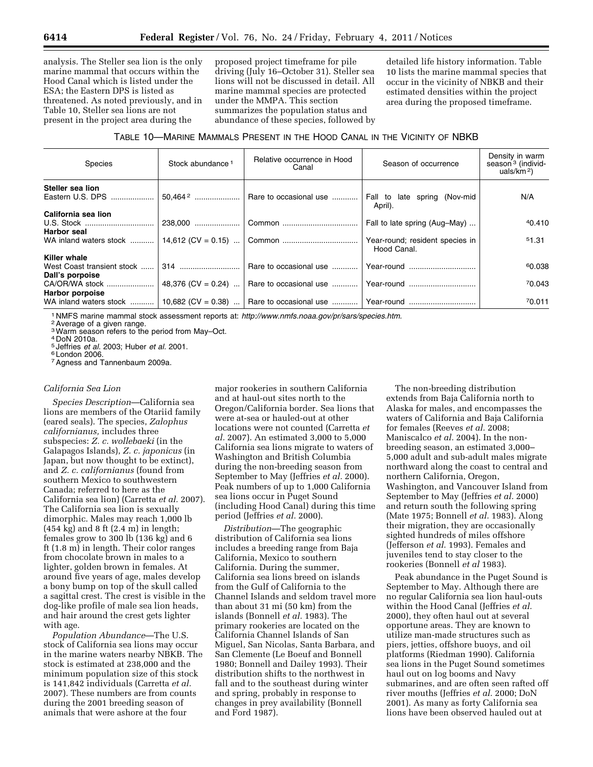analysis. The Steller sea lion is the only marine mammal that occurs within the Hood Canal which is listed under the ESA; the Eastern DPS is listed as threatened. As noted previously, and in Table 10, Steller sea lions are not present in the project area during the

proposed project timeframe for pile driving (July 16–October 31). Steller sea lions will not be discussed in detail. All marine mammal species are protected under the MMPA. This section summarizes the population status and abundance of these species, followed by detailed life history information. Table 10 lists the marine mammal species that occur in the vicinity of NBKB and their estimated densities within the project area during the proposed timeframe.

# TABLE 10—MARINE MAMMALS PRESENT IN THE HOOD CANAL IN THE VICINITY OF NBKB

| Species                                              | Stock abundance <sup>1</sup> | Relative occurrence in Hood<br>Canal | Season of occurrence                           | Density in warm<br>season <sup>3</sup> (individ-<br>uals/km <sup>2</sup> ) |
|------------------------------------------------------|------------------------------|--------------------------------------|------------------------------------------------|----------------------------------------------------------------------------|
| Steller sea lion<br>Eastern U.S. DPS                 | $50.464^2$                   | Rare to occasional use               | Fall to late spring (Nov-mid<br>April).        | N/A                                                                        |
| California sea lion<br><b>Harbor seal</b>            | 238.000                      |                                      | Fall to late spring (Aug-May)                  | 40.410                                                                     |
| WA inland waters stock                               | $14,612$ (CV = 0.15)         |                                      | Year-round; resident species in<br>Hood Canal. | 51.31                                                                      |
| <b>Killer whale</b>                                  |                              |                                      |                                                |                                                                            |
| West Coast transient stock                           |                              | Rare to occasional use               | Year-round                                     | 60.038                                                                     |
| Dall's porpoise<br>CA/OR/WA stock<br>Harbor porpoise | 48,376 (CV = 0.24)           | Rare to occasional use  Year-round   |                                                | 70.043                                                                     |
| WA inland waters stock                               | 10,682 (CV = 0.38)           | Rare to occasional use    Year-round |                                                | 70.011                                                                     |

<sup>1</sup> NMFS marine mammal stock assessment reports at: *[http://www.nmfs.noaa.gov/pr/sars/species.htm.](http://www.nmfs.noaa.gov/pr/sars/species.htm)* 2Average of a given range.

3Warm season refers to the period from May–Oct.

4 DoN 2010a.

<sup>5</sup> Jeffries *et al.* 2003; Huber *et al.* 2001. 6 London 2006.

7Agness and Tannenbaum 2009a.

### *California Sea Lion*

*Species Description*—California sea lions are members of the Otariid family (eared seals). The species, *Zalophus californianus,* includes three subspecies: *Z. c. wollebaeki* (in the Galapagos Islands), *Z. c. japonicus* (in Japan, but now thought to be extinct), and *Z. c. californianus* (found from southern Mexico to southwestern Canada; referred to here as the California sea lion) (Carretta *et al.* 2007). The California sea lion is sexually dimorphic. Males may reach 1,000 lb (454 kg) and 8 ft (2.4 m) in length; females grow to 300 lb (136 kg) and 6 ft (1.8 m) in length. Their color ranges from chocolate brown in males to a lighter, golden brown in females. At around five years of age, males develop a bony bump on top of the skull called a sagittal crest. The crest is visible in the dog-like profile of male sea lion heads, and hair around the crest gets lighter with age.

*Population Abundance*—The U.S. stock of California sea lions may occur in the marine waters nearby NBKB. The stock is estimated at 238,000 and the minimum population size of this stock is 141,842 individuals (Carretta *et al.*  2007). These numbers are from counts during the 2001 breeding season of animals that were ashore at the four

major rookeries in southern California and at haul-out sites north to the Oregon/California border. Sea lions that were at-sea or hauled-out at other locations were not counted (Carretta *et al.* 2007). An estimated 3,000 to 5,000 California sea lions migrate to waters of Washington and British Columbia during the non-breeding season from September to May (Jeffries *et al.* 2000). Peak numbers of up to 1,000 California sea lions occur in Puget Sound (including Hood Canal) during this time period (Jeffries *et al.* 2000).

*Distribution*—The geographic distribution of California sea lions includes a breeding range from Baja California, Mexico to southern California. During the summer, California sea lions breed on islands from the Gulf of California to the Channel Islands and seldom travel more than about 31 mi (50 km) from the islands (Bonnell *et al.* 1983). The primary rookeries are located on the California Channel Islands of San Miguel, San Nicolas, Santa Barbara, and San Clemente (Le Boeuf and Bonnell 1980; Bonnell and Dailey 1993). Their distribution shifts to the northwest in fall and to the southeast during winter and spring, probably in response to changes in prey availability (Bonnell and Ford 1987).

The non-breeding distribution extends from Baja California north to Alaska for males, and encompasses the waters of California and Baja California for females (Reeves *et al.* 2008; Maniscalco *et al.* 2004). In the nonbreeding season, an estimated 3,000– 5,000 adult and sub-adult males migrate northward along the coast to central and northern California, Oregon, Washington, and Vancouver Island from September to May (Jeffries *et al.* 2000) and return south the following spring (Mate 1975; Bonnell *et al.* 1983). Along their migration, they are occasionally sighted hundreds of miles offshore (Jefferson *et al.* 1993). Females and juveniles tend to stay closer to the rookeries (Bonnell *et al* 1983).

Peak abundance in the Puget Sound is September to May. Although there are no regular California sea lion haul-outs within the Hood Canal (Jeffries *et al.*  2000), they often haul out at several opportune areas. They are known to utilize man-made structures such as piers, jetties, offshore buoys, and oil platforms (Riedman 1990). California sea lions in the Puget Sound sometimes haul out on log booms and Navy submarines, and are often seen rafted off river mouths (Jeffries *et al.* 2000; DoN 2001). As many as forty California sea lions have been observed hauled out at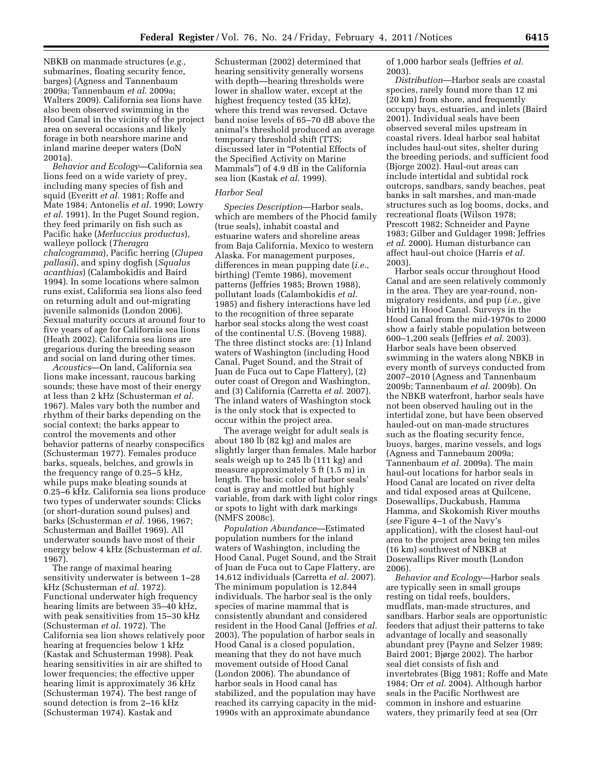NBKB on manmade structures (*e.g.,*  submarines, floating security fence, barges) (Agness and Tannenbaum 2009a; Tannenbaum *et al.* 2009a; Walters 2009). California sea lions have also been observed swimming in the Hood Canal in the vicinity of the project area on several occasions and likely forage in both nearshore marine and inland marine deeper waters (DoN 2001a).

*Behavior and Ecology*—California sea lions feed on a wide variety of prey, including many species of fish and squid (Everitt *et al.* 1981; Roffe and Mate 1984; Antonelis *et al.* 1990; Lowry *et al.* 1991). In the Puget Sound region, they feed primarily on fish such as Pacific hake (*Merluccius productus*), walleye pollock (*Theragra chalcogramma*), Pacific herring (*Clupea pallasii*), and spiny dogfish (*Squalus acanthias*) (Calambokidis and Baird 1994). In some locations where salmon runs exist, California sea lions also feed on returning adult and out-migrating juvenile salmonids (London 2006). Sexual maturity occurs at around four to five years of age for California sea lions (Heath 2002). California sea lions are gregarious during the breeding season and social on land during other times.

*Acoustics*—On land, California sea lions make incessant, raucous barking sounds; these have most of their energy at less than 2 kHz (Schusterman *et al.*  1967). Males vary both the number and rhythm of their barks depending on the social context; the barks appear to control the movements and other behavior patterns of nearby conspecifics (Schusterman 1977). Females produce barks, squeals, belches, and growls in the frequency range of 0.25–5 kHz, while pups make bleating sounds at 0.25–6 kHz. California sea lions produce two types of underwater sounds: Clicks (or short-duration sound pulses) and barks (Schusterman *et al.* 1966, 1967; Schusterman and Baillet 1969). All underwater sounds have most of their energy below 4 kHz (Schusterman *et al.*  1967).

The range of maximal hearing sensitivity underwater is between 1–28 kHz (Schusterman *et al.* 1972). Functional underwater high frequency hearing limits are between 35–40 kHz, with peak sensitivities from 15–30 kHz (Schusterman *et al.* 1972). The California sea lion shows relatively poor hearing at frequencies below 1 kHz (Kastak and Schusterman 1998). Peak hearing sensitivities in air are shifted to lower frequencies; the effective upper hearing limit is approximately 36 kHz (Schusterman 1974). The best range of sound detection is from 2–16 kHz (Schusterman 1974). Kastak and

Schusterman (2002) determined that hearing sensitivity generally worsens with depth—hearing thresholds were lower in shallow water, except at the highest frequency tested (35 kHz), where this trend was reversed. Octave band noise levels of 65–70 dB above the animal's threshold produced an average temporary threshold shift (TTS; discussed later in ''Potential Effects of the Specified Activity on Marine Mammals'') of 4.9 dB in the California sea lion (Kastak *et al.* 1999).

# *Harbor Seal*

*Species Description*—Harbor seals, which are members of the Phocid family (true seals), inhabit coastal and estuarine waters and shoreline areas from Baja California, Mexico to western Alaska. For management purposes, differences in mean pupping date (*i.e.,*  birthing) (Temte 1986), movement patterns (Jeffries 1985; Brown 1988), pollutant loads (Calambokidis *et al.*  1985) and fishery interactions have led to the recognition of three separate harbor seal stocks along the west coast of the continental U.S. (Boveng 1988). The three distinct stocks are: (1) Inland waters of Washington (including Hood Canal, Puget Sound, and the Strait of Juan de Fuca out to Cape Flattery), (2) outer coast of Oregon and Washington, and (3) California (Carretta *et al.* 2007). The inland waters of Washington stock is the only stock that is expected to occur within the project area.

The average weight for adult seals is about 180 lb (82 kg) and males are slightly larger than females. Male harbor seals weigh up to 245 lb (111 kg) and measure approximately 5 ft (1.5 m) in length. The basic color of harbor seals' coat is gray and mottled but highly variable, from dark with light color rings or spots to light with dark markings (NMFS 2008c).

*Population Abundance*—Estimated population numbers for the inland waters of Washington, including the Hood Canal, Puget Sound, and the Strait of Juan de Fuca out to Cape Flattery, are 14,612 individuals (Carretta *et al.* 2007). The minimum population is 12,844 individuals. The harbor seal is the only species of marine mammal that is consistently abundant and considered resident in the Hood Canal (Jeffries *et al.*  2003). The population of harbor seals in Hood Canal is a closed population, meaning that they do not have much movement outside of Hood Canal (London 2006). The abundance of harbor seals in Hood canal has stabilized, and the population may have reached its carrying capacity in the mid-1990s with an approximate abundance

of 1,000 harbor seals (Jeffries *et al.*  2003).

*Distribution*—Harbor seals are coastal species, rarely found more than 12 mi (20 km) from shore, and frequently occupy bays, estuaries, and inlets (Baird 2001). Individual seals have been observed several miles upstream in coastal rivers. Ideal harbor seal habitat includes haul-out sites, shelter during the breeding periods, and sufficient food (Bjorge 2002). Haul-out areas can include intertidal and subtidal rock outcrops, sandbars, sandy beaches, peat banks in salt marshes, and man-made structures such as log booms, docks, and recreational floats (Wilson 1978; Prescott 1982; Schneider and Payne 1983; Gilber and Guldager 1998; Jeffries *et al.* 2000). Human disturbance can affect haul-out choice (Harris *et al.*  2003).

Harbor seals occur throughout Hood Canal and are seen relatively commonly in the area. They are year-round, nonmigratory residents, and pup (*i.e.,* give birth) in Hood Canal. Surveys in the Hood Canal from the mid-1970s to 2000 show a fairly stable population between 600–1,200 seals (Jeffries *et al.* 2003). Harbor seals have been observed swimming in the waters along NBKB in every month of surveys conducted from 2007–2010 (Agness and Tannenbaum 2009b; Tannenbaum *et al.* 2009b). On the NBKB waterfront, harbor seals have not been observed hauling out in the intertidal zone, but have been observed hauled-out on man-made structures such as the floating security fence, buoys, barges, marine vessels, and logs (Agness and Tannebaum 2009a; Tannenbaum *et al.* 2009a). The main haul-out locations for harbor seals in Hood Canal are located on river delta and tidal exposed areas at Quilcene, Dosewallips, Duckabush, Hamma Hamma, and Skokomish River mouths (*see* Figure 4–1 of the Navy's application), with the closest haul-out area to the project area being ten miles (16 km) southwest of NBKB at Dosewallips River mouth (London 2006).

*Behavior and Ecology*—Harbor seals are typically seen in small groups resting on tidal reefs, boulders, mudflats, man-made structures, and sandbars. Harbor seals are opportunistic feeders that adjust their patterns to take advantage of locally and seasonally abundant prey (Payne and Selzer 1989; Baird 2001; Bjørge 2002). The harbor seal diet consists of fish and invertebrates (Bigg 1981; Roffe and Mate 1984; Orr *et al.* 2004). Although harbor seals in the Pacific Northwest are common in inshore and estuarine waters, they primarily feed at sea (Orr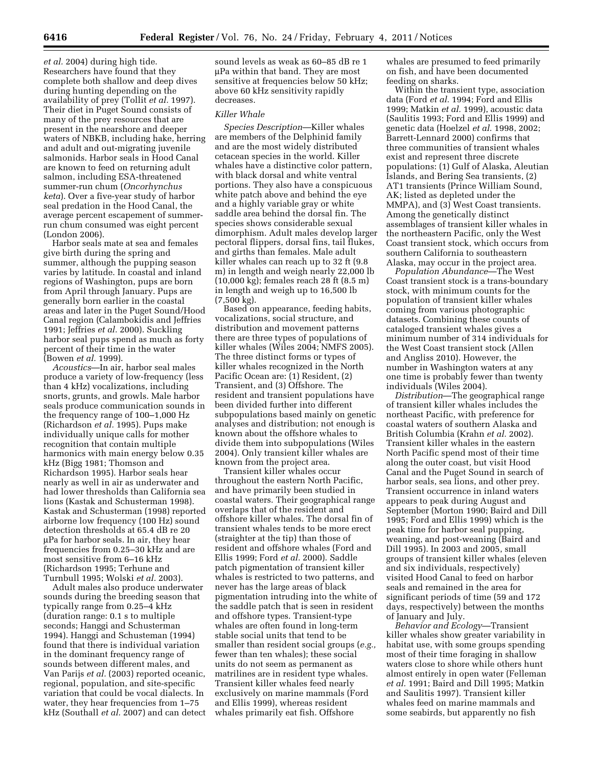*et al.* 2004) during high tide. Researchers have found that they complete both shallow and deep dives during hunting depending on the availability of prey (Tollit *et al.* 1997). Their diet in Puget Sound consists of many of the prey resources that are present in the nearshore and deeper waters of NBKB, including hake, herring and adult and out-migrating juvenile salmonids. Harbor seals in Hood Canal are known to feed on returning adult salmon, including ESA-threatened summer-run chum (*Oncorhynchus keta*). Over a five-year study of harbor seal predation in the Hood Canal, the average percent escapement of summerrun chum consumed was eight percent (London 2006).

Harbor seals mate at sea and females give birth during the spring and summer, although the pupping season varies by latitude. In coastal and inland regions of Washington, pups are born from April through January. Pups are generally born earlier in the coastal areas and later in the Puget Sound/Hood Canal region (Calambokidis and Jeffries 1991; Jeffries *et al.* 2000). Suckling harbor seal pups spend as much as forty percent of their time in the water (Bowen *et al.* 1999).

*Acoustics*—In air, harbor seal males produce a variety of low-frequency (less than 4 kHz) vocalizations, including snorts, grunts, and growls. Male harbor seals produce communication sounds in the frequency range of 100–1,000 Hz (Richardson *et al.* 1995). Pups make individually unique calls for mother recognition that contain multiple harmonics with main energy below 0.35 kHz (Bigg 1981; Thomson and Richardson 1995). Harbor seals hear nearly as well in air as underwater and had lower thresholds than California sea lions (Kastak and Schusterman 1998). Kastak and Schusterman (1998) reported airborne low frequency (100 Hz) sound detection thresholds at 65.4 dB re 20 μPa for harbor seals. In air, they hear frequencies from 0.25–30 kHz and are most sensitive from 6–16 kHz (Richardson 1995; Terhune and Turnbull 1995; Wolski *et al.* 2003).

Adult males also produce underwater sounds during the breeding season that typically range from 0.25–4 kHz (duration range: 0.1 s to multiple seconds; Hanggi and Schusterman 1994). Hanggi and Schusteman (1994) found that there is individual variation in the dominant frequency range of sounds between different males, and Van Parijs *et al.* (2003) reported oceanic, regional, population, and site-specific variation that could be vocal dialects. In water, they hear frequencies from 1–75 kHz (Southall *et al.* 2007) and can detect

sound levels as weak as 60–85 dB re 1 μPa within that band. They are most sensitive at frequencies below 50 kHz; above 60 kHz sensitivity rapidly decreases.

### *Killer Whale*

*Species Description*—Killer whales are members of the Delphinid family and are the most widely distributed cetacean species in the world. Killer whales have a distinctive color pattern, with black dorsal and white ventral portions. They also have a conspicuous white patch above and behind the eye and a highly variable gray or white saddle area behind the dorsal fin. The species shows considerable sexual dimorphism. Adult males develop larger pectoral flippers, dorsal fins, tail flukes, and girths than females. Male adult killer whales can reach up to 32 ft (9.8 m) in length and weigh nearly 22,000 lb (10,000 kg); females reach 28 ft (8.5 m) in length and weigh up to 16,500 lb (7,500 kg).

Based on appearance, feeding habits, vocalizations, social structure, and distribution and movement patterns there are three types of populations of killer whales (Wiles 2004; NMFS 2005). The three distinct forms or types of killer whales recognized in the North Pacific Ocean are: (1) Resident, (2) Transient, and (3) Offshore. The resident and transient populations have been divided further into different subpopulations based mainly on genetic analyses and distribution; not enough is known about the offshore whales to divide them into subpopulations (Wiles 2004). Only transient killer whales are known from the project area.

Transient killer whales occur throughout the eastern North Pacific, and have primarily been studied in coastal waters. Their geographical range overlaps that of the resident and offshore killer whales. The dorsal fin of transient whales tends to be more erect (straighter at the tip) than those of resident and offshore whales (Ford and Ellis 1999; Ford *et al.* 2000). Saddle patch pigmentation of transient killer whales is restricted to two patterns, and never has the large areas of black pigmentation intruding into the white of the saddle patch that is seen in resident and offshore types. Transient-type whales are often found in long-term stable social units that tend to be smaller than resident social groups (*e.g.,*  fewer than ten whales); these social units do not seem as permanent as matrilines are in resident type whales. Transient killer whales feed nearly exclusively on marine mammals (Ford and Ellis 1999), whereas resident whales primarily eat fish. Offshore

whales are presumed to feed primarily on fish, and have been documented feeding on sharks.

Within the transient type, association data (Ford *et al.* 1994; Ford and Ellis 1999; Matkin *et al.* 1999), acoustic data (Saulitis 1993; Ford and Ellis 1999) and genetic data (Hoelzel *et al.* 1998, 2002; Barrett-Lennard 2000) confirms that three communities of transient whales exist and represent three discrete populations: (1) Gulf of Alaska, Aleutian Islands, and Bering Sea transients, (2) AT1 transients (Prince William Sound, AK; listed as depleted under the MMPA), and (3) West Coast transients. Among the genetically distinct assemblages of transient killer whales in the northeastern Pacific, only the West Coast transient stock, which occurs from southern California to southeastern Alaska, may occur in the project area.

*Population Abundance*—The West Coast transient stock is a trans-boundary stock, with minimum counts for the population of transient killer whales coming from various photographic datasets. Combining these counts of cataloged transient whales gives a minimum number of 314 individuals for the West Coast transient stock (Allen and Angliss 2010). However, the number in Washington waters at any one time is probably fewer than twenty individuals (Wiles 2004).

*Distribution*—The geographical range of transient killer whales includes the northeast Pacific, with preference for coastal waters of southern Alaska and British Columbia (Krahn *et al.* 2002). Transient killer whales in the eastern North Pacific spend most of their time along the outer coast, but visit Hood Canal and the Puget Sound in search of harbor seals, sea lions, and other prey. Transient occurrence in inland waters appears to peak during August and September (Morton 1990; Baird and Dill 1995; Ford and Ellis 1999) which is the peak time for harbor seal pupping, weaning, and post-weaning (Baird and Dill 1995). In 2003 and 2005, small groups of transient killer whales (eleven and six individuals, respectively) visited Hood Canal to feed on harbor seals and remained in the area for significant periods of time (59 and 172 days, respectively) between the months of January and July.

*Behavior and Ecology*—Transient killer whales show greater variability in habitat use, with some groups spending most of their time foraging in shallow waters close to shore while others hunt almost entirely in open water (Felleman *et al.* 1991; Baird and Dill 1995; Matkin and Saulitis 1997). Transient killer whales feed on marine mammals and some seabirds, but apparently no fish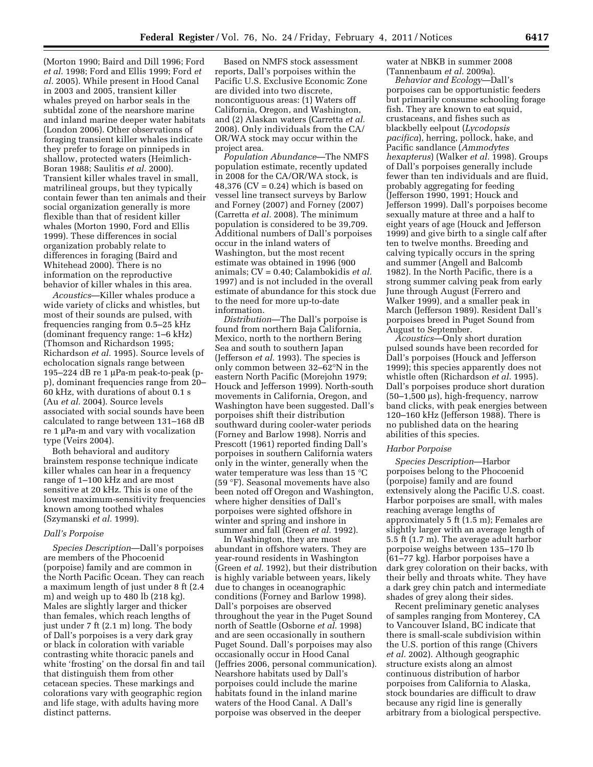(Morton 1990; Baird and Dill 1996; Ford *et al.* 1998; Ford and Ellis 1999; Ford *et al.* 2005). While present in Hood Canal in 2003 and 2005, transient killer whales preyed on harbor seals in the subtidal zone of the nearshore marine and inland marine deeper water habitats (London 2006). Other observations of foraging transient killer whales indicate they prefer to forage on pinnipeds in shallow, protected waters (Heimlich-Boran 1988; Saulitis *et al.* 2000). Transient killer whales travel in small, matrilineal groups, but they typically contain fewer than ten animals and their social organization generally is more flexible than that of resident killer whales (Morton 1990, Ford and Ellis 1999). These differences in social organization probably relate to differences in foraging (Baird and Whitehead 2000). There is no information on the reproductive behavior of killer whales in this area.

*Acoustics*—Killer whales produce a wide variety of clicks and whistles, but most of their sounds are pulsed, with frequencies ranging from 0.5–25 kHz (dominant frequency range: 1–6 kHz) (Thomson and Richardson 1995; Richardson *et al.* 1995). Source levels of echolocation signals range between 195–224 dB re 1 μPa-m peak-to-peak (pp), dominant frequencies range from 20– 60 kHz, with durations of about 0.1 s (Au *et al.* 2004). Source levels associated with social sounds have been calculated to range between 131–168 dB re 1 μPa-m and vary with vocalization type (Veirs 2004).

Both behavioral and auditory brainstem response technique indicate killer whales can hear in a frequency range of 1–100 kHz and are most sensitive at 20 kHz. This is one of the lowest maximum-sensitivity frequencies known among toothed whales (Szymanski *et al.* 1999).

### *Dall's Porpoise*

*Species Description*—Dall's porpoises are members of the Phocoenid (porpoise) family and are common in the North Pacific Ocean. They can reach a maximum length of just under 8 ft (2.4 m) and weigh up to 480 lb (218 kg). Males are slightly larger and thicker than females, which reach lengths of just under 7 ft (2.1 m) long. The body of Dall's porpoises is a very dark gray or black in coloration with variable contrasting white thoracic panels and white 'frosting' on the dorsal fin and tail that distinguish them from other cetacean species. These markings and colorations vary with geographic region and life stage, with adults having more distinct patterns.

Based on NMFS stock assessment reports, Dall's porpoises within the Pacific U.S. Exclusive Economic Zone are divided into two discrete, noncontiguous areas: (1) Waters off California, Oregon, and Washington, and (2) Alaskan waters (Carretta *et al.*  2008). Only individuals from the CA/ OR/WA stock may occur within the project area.

*Population Abundance*—The NMFS population estimate, recently updated in 2008 for the CA/OR/WA stock, is  $48,376$  (CV = 0.24) which is based on vessel line transect surveys by Barlow and Forney (2007) and Forney (2007) (Carretta *et al.* 2008). The minimum population is considered to be 39,709. Additional numbers of Dall's porpoises occur in the inland waters of Washington, but the most recent estimate was obtained in 1996 (900 animals; CV = 0.40; Calambokidis *et al.*  1997) and is not included in the overall estimate of abundance for this stock due to the need for more up-to-date information.

*Distribution*—The Dall's porpoise is found from northern Baja California, Mexico, north to the northern Bering Sea and south to southern Japan (Jefferson *et al.* 1993). The species is only common between 32–62°N in the eastern North Pacific (Morejohn 1979; Houck and Jefferson 1999). North-south movements in California, Oregon, and Washington have been suggested. Dall's porpoises shift their distribution southward during cooler-water periods (Forney and Barlow 1998). Norris and Prescott (1961) reported finding Dall's porpoises in southern California waters only in the winter, generally when the water temperature was less than 15 °C (59 °F). Seasonal movements have also been noted off Oregon and Washington, where higher densities of Dall's porpoises were sighted offshore in winter and spring and inshore in summer and fall (Green *et al.* 1992).

In Washington, they are most abundant in offshore waters. They are year-round residents in Washington (Green *et al.* 1992), but their distribution is highly variable between years, likely due to changes in oceanographic conditions (Forney and Barlow 1998). Dall's porpoises are observed throughout the year in the Puget Sound north of Seattle (Osborne *et al.* 1998) and are seen occasionally in southern Puget Sound. Dall's porpoises may also occasionally occur in Hood Canal (Jeffries 2006, personal communication). Nearshore habitats used by Dall's porpoises could include the marine habitats found in the inland marine waters of the Hood Canal. A Dall's porpoise was observed in the deeper

water at NBKB in summer 2008 (Tannenbaum *et al.* 2009a).

*Behavior and Ecology*—Dall's porpoises can be opportunistic feeders but primarily consume schooling forage fish. They are known to eat squid, crustaceans, and fishes such as blackbelly eelpout (*Lycodopsis pacifica*), herring, pollock, hake, and Pacific sandlance (*Ammodytes hexapterus*) (Walker *et al.* 1998). Groups of Dall's porpoises generally include fewer than ten individuals and are fluid, probably aggregating for feeding (Jefferson 1990, 1991; Houck and Jefferson 1999). Dall's porpoises become sexually mature at three and a half to eight years of age (Houck and Jefferson 1999) and give birth to a single calf after ten to twelve months. Breeding and calving typically occurs in the spring and summer (Angell and Balcomb 1982). In the North Pacific, there is a strong summer calving peak from early June through August (Ferrero and Walker 1999), and a smaller peak in March (Jefferson 1989). Resident Dall's porpoises breed in Puget Sound from August to September.

*Acoustics*—Only short duration pulsed sounds have been recorded for Dall's porpoises (Houck and Jefferson 1999); this species apparently does not whistle often (Richardson *et al.* 1995). Dall's porpoises produce short duration (50–1,500 μs), high-frequency, narrow band clicks, with peak energies between 120–160 kHz (Jefferson 1988). There is no published data on the hearing abilities of this species.

#### *Harbor Porpoise*

*Species Description*—Harbor porpoises belong to the Phocoenid (porpoise) family and are found extensively along the Pacific U.S. coast. Harbor porpoises are small, with males reaching average lengths of approximately 5 ft (1.5 m); Females are slightly larger with an average length of 5.5 ft (1.7 m). The average adult harbor porpoise weighs between 135–170 lb (61–77 kg). Harbor porpoises have a dark grey coloration on their backs, with their belly and throats white. They have a dark grey chin patch and intermediate shades of grey along their sides.

Recent preliminary genetic analyses of samples ranging from Monterey, CA to Vancouver Island, BC indicate that there is small-scale subdivision within the U.S. portion of this range (Chivers *et al.* 2002). Although geographic structure exists along an almost continuous distribution of harbor porpoises from California to Alaska, stock boundaries are difficult to draw because any rigid line is generally arbitrary from a biological perspective.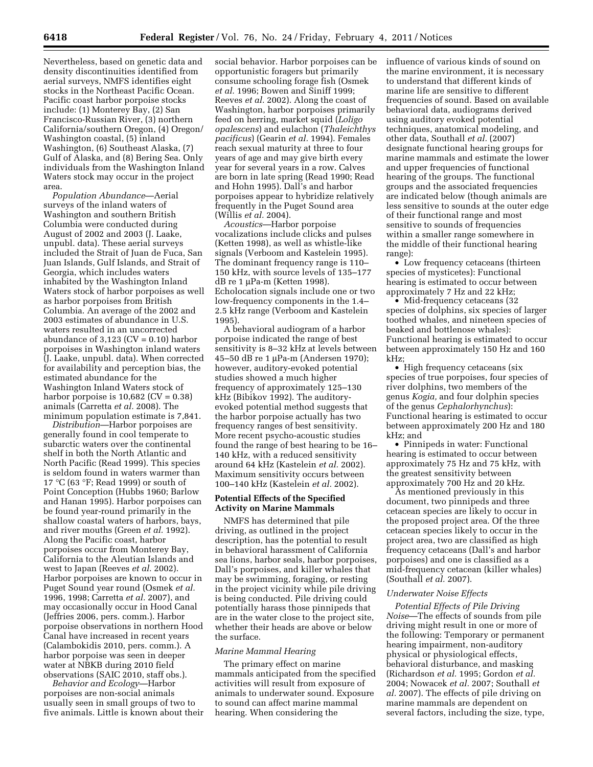Nevertheless, based on genetic data and density discontinuities identified from aerial surveys, NMFS identifies eight stocks in the Northeast Pacific Ocean. Pacific coast harbor porpoise stocks include: (1) Monterey Bay, (2) San Francisco-Russian River, (3) northern California/southern Oregon, (4) Oregon/ Washington coastal, (5) inland Washington, (6) Southeast Alaska, (7) Gulf of Alaska, and (8) Bering Sea. Only individuals from the Washington Inland Waters stock may occur in the project area.

*Population Abundance*—Aerial surveys of the inland waters of Washington and southern British Columbia were conducted during August of 2002 and 2003 (J. Laake, unpubl. data). These aerial surveys included the Strait of Juan de Fuca, San Juan Islands, Gulf Islands, and Strait of Georgia, which includes waters inhabited by the Washington Inland Waters stock of harbor porpoises as well as harbor porpoises from British Columbia. An average of the 2002 and 2003 estimates of abundance in U.S. waters resulted in an uncorrected abundance of  $3,123$  (CV = 0.10) harbor porpoises in Washington inland waters (J. Laake, unpubl. data). When corrected for availability and perception bias, the estimated abundance for the Washington Inland Waters stock of harbor porpoise is  $10,682$  (CV =  $0.38$ ) animals (Carretta *et al.* 2008). The minimum population estimate is 7,841.

*Distribution*—Harbor porpoises are generally found in cool temperate to subarctic waters over the continental shelf in both the North Atlantic and North Pacific (Read 1999). This species is seldom found in waters warmer than 17 °C (63 °F; Read 1999) or south of Point Conception (Hubbs 1960; Barlow and Hanan 1995). Harbor porpoises can be found year-round primarily in the shallow coastal waters of harbors, bays, and river mouths (Green *et al.* 1992). Along the Pacific coast, harbor porpoises occur from Monterey Bay, California to the Aleutian Islands and west to Japan (Reeves *et al.* 2002). Harbor porpoises are known to occur in Puget Sound year round (Osmek *et al.*  1996, 1998; Carretta *et al.* 2007), and may occasionally occur in Hood Canal (Jeffries 2006, pers. comm.). Harbor porpoise observations in northern Hood Canal have increased in recent years (Calambokidis 2010, pers. comm.). A harbor porpoise was seen in deeper water at NBKB during 2010 field observations (SAIC 2010, staff obs.).

*Behavior and Ecology*—Harbor porpoises are non-social animals usually seen in small groups of two to five animals. Little is known about their

social behavior. Harbor porpoises can be opportunistic foragers but primarily consume schooling forage fish (Osmek *et al.* 1996; Bowen and Siniff 1999; Reeves *et al.* 2002). Along the coast of Washington, harbor porpoises primarily feed on herring, market squid (*Loligo opalescens*) and eulachon (*Thaleichthys pacificus*) (Gearin *et al.* 1994). Females reach sexual maturity at three to four years of age and may give birth every year for several years in a row. Calves are born in late spring (Read 1990; Read and Hohn 1995). Dall's and harbor porpoises appear to hybridize relatively frequently in the Puget Sound area (Willis *et al.* 2004).

*Acoustics*—Harbor porpoise vocalizations include clicks and pulses (Ketten 1998), as well as whistle-like signals (Verboom and Kastelein 1995). The dominant frequency range is 110– 150 kHz, with source levels of 135–177 dB re 1 μPa-m (Ketten 1998). Echolocation signals include one or two low-frequency components in the 1.4– 2.5 kHz range (Verboom and Kastelein 1995).

A behavioral audiogram of a harbor porpoise indicated the range of best sensitivity is 8–32 kHz at levels between 45–50 dB re 1 μPa-m (Andersen 1970); however, auditory-evoked potential studies showed a much higher frequency of approximately 125–130 kHz (Bibikov 1992). The auditoryevoked potential method suggests that the harbor porpoise actually has two frequency ranges of best sensitivity. More recent psycho-acoustic studies found the range of best hearing to be 16– 140 kHz, with a reduced sensitivity around 64 kHz (Kastelein *et al.* 2002). Maximum sensitivity occurs between 100–140 kHz (Kastelein *et al.* 2002).

## **Potential Effects of the Specified Activity on Marine Mammals**

NMFS has determined that pile driving, as outlined in the project description, has the potential to result in behavioral harassment of California sea lions, harbor seals, harbor porpoises, Dall's porpoises, and killer whales that may be swimming, foraging, or resting in the project vicinity while pile driving is being conducted. Pile driving could potentially harass those pinnipeds that are in the water close to the project site, whether their heads are above or below the surface.

### *Marine Mammal Hearing*

The primary effect on marine mammals anticipated from the specified activities will result from exposure of animals to underwater sound. Exposure to sound can affect marine mammal hearing. When considering the

influence of various kinds of sound on the marine environment, it is necessary to understand that different kinds of marine life are sensitive to different frequencies of sound. Based on available behavioral data, audiograms derived using auditory evoked potential techniques, anatomical modeling, and other data, Southall *et al.* (2007) designate functional hearing groups for marine mammals and estimate the lower and upper frequencies of functional hearing of the groups. The functional groups and the associated frequencies are indicated below (though animals are less sensitive to sounds at the outer edge of their functional range and most sensitive to sounds of frequencies within a smaller range somewhere in the middle of their functional hearing range):

• Low frequency cetaceans (thirteen species of mysticetes): Functional hearing is estimated to occur between approximately 7 Hz and 22 kHz;

• Mid-frequency cetaceans (32 species of dolphins, six species of larger toothed whales, and nineteen species of beaked and bottlenose whales): Functional hearing is estimated to occur between approximately 150 Hz and 160 kHz;

• High frequency cetaceans (six species of true porpoises, four species of river dolphins, two members of the genus *Kogia,* and four dolphin species of the genus *Cephalorhynchus*): Functional hearing is estimated to occur between approximately 200 Hz and 180 kHz; and

• Pinnipeds in water: Functional hearing is estimated to occur between approximately 75 Hz and 75 kHz, with the greatest sensitivity between approximately 700 Hz and 20 kHz.

As mentioned previously in this document, two pinnipeds and three cetacean species are likely to occur in the proposed project area. Of the three cetacean species likely to occur in the project area, two are classified as high frequency cetaceans (Dall's and harbor porpoises) and one is classified as a mid-frequency cetacean (killer whales) (Southall *et al.* 2007).

## *Underwater Noise Effects*

*Potential Effects of Pile Driving Noise*—The effects of sounds from pile driving might result in one or more of the following: Temporary or permanent hearing impairment, non-auditory physical or physiological effects, behavioral disturbance, and masking (Richardson *et al.* 1995; Gordon *et al.*  2004; Nowacek *et al.* 2007; Southall *et al.* 2007). The effects of pile driving on marine mammals are dependent on several factors, including the size, type,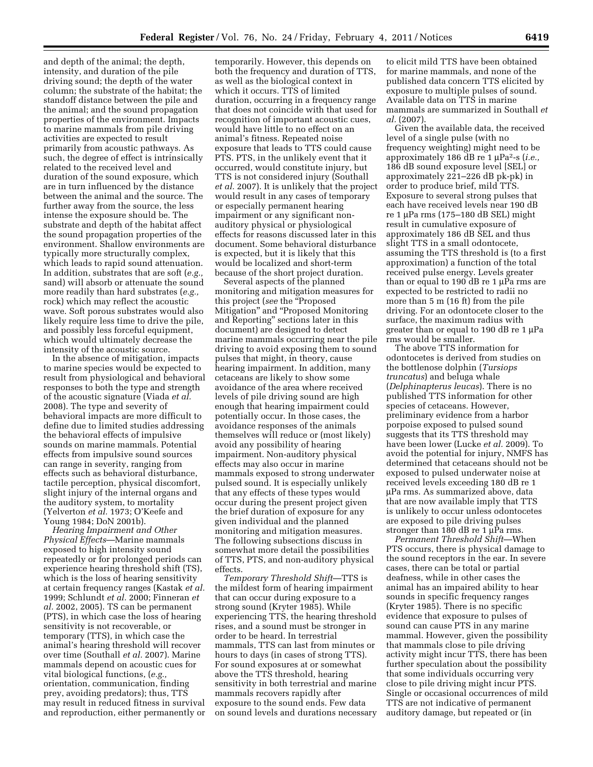and depth of the animal; the depth, intensity, and duration of the pile driving sound; the depth of the water column; the substrate of the habitat; the standoff distance between the pile and the animal; and the sound propagation properties of the environment. Impacts to marine mammals from pile driving activities are expected to result primarily from acoustic pathways. As such, the degree of effect is intrinsically related to the received level and duration of the sound exposure, which are in turn influenced by the distance between the animal and the source. The further away from the source, the less intense the exposure should be. The substrate and depth of the habitat affect the sound propagation properties of the environment. Shallow environments are typically more structurally complex, which leads to rapid sound attenuation. In addition, substrates that are soft (*e.g.,*  sand) will absorb or attenuate the sound more readily than hard substrates (*e.g.,*  rock) which may reflect the acoustic wave. Soft porous substrates would also likely require less time to drive the pile, and possibly less forceful equipment, which would ultimately decrease the intensity of the acoustic source.

In the absence of mitigation, impacts to marine species would be expected to result from physiological and behavioral responses to both the type and strength of the acoustic signature (Viada *et al.*  2008). The type and severity of behavioral impacts are more difficult to define due to limited studies addressing the behavioral effects of impulsive sounds on marine mammals. Potential effects from impulsive sound sources can range in severity, ranging from effects such as behavioral disturbance, tactile perception, physical discomfort, slight injury of the internal organs and the auditory system, to mortality (Yelverton *et al.* 1973; O'Keefe and Young 1984; DoN 2001b).

*Hearing Impairment and Other Physical Effects*—Marine mammals exposed to high intensity sound repeatedly or for prolonged periods can experience hearing threshold shift (TS), which is the loss of hearing sensitivity at certain frequency ranges (Kastak *et al.*  1999; Schlundt *et al.* 2000; Finneran *et al.* 2002, 2005). TS can be permanent (PTS), in which case the loss of hearing sensitivity is not recoverable, or temporary (TTS), in which case the animal's hearing threshold will recover over time (Southall *et al.* 2007). Marine mammals depend on acoustic cues for vital biological functions, (*e.g.,*  orientation, communication, finding prey, avoiding predators); thus, TTS may result in reduced fitness in survival and reproduction, either permanently or

temporarily. However, this depends on both the frequency and duration of TTS, as well as the biological context in which it occurs. TTS of limited duration, occurring in a frequency range that does not coincide with that used for recognition of important acoustic cues, would have little to no effect on an animal's fitness. Repeated noise exposure that leads to TTS could cause PTS. PTS, in the unlikely event that it occurred, would constitute injury, but TTS is not considered injury (Southall *et al.* 2007). It is unlikely that the project would result in any cases of temporary or especially permanent hearing impairment or any significant nonauditory physical or physiological effects for reasons discussed later in this document. Some behavioral disturbance is expected, but it is likely that this would be localized and short-term because of the short project duration.

Several aspects of the planned monitoring and mitigation measures for this project (*see* the ''Proposed Mitigation'' and ''Proposed Monitoring and Reporting'' sections later in this document) are designed to detect marine mammals occurring near the pile driving to avoid exposing them to sound pulses that might, in theory, cause hearing impairment. In addition, many cetaceans are likely to show some avoidance of the area where received levels of pile driving sound are high enough that hearing impairment could potentially occur. In those cases, the avoidance responses of the animals themselves will reduce or (most likely) avoid any possibility of hearing impairment. Non-auditory physical effects may also occur in marine mammals exposed to strong underwater pulsed sound. It is especially unlikely that any effects of these types would occur during the present project given the brief duration of exposure for any given individual and the planned monitoring and mitigation measures. The following subsections discuss in somewhat more detail the possibilities of TTS, PTS, and non-auditory physical effects.

*Temporary Threshold Shift*—TTS is the mildest form of hearing impairment that can occur during exposure to a strong sound (Kryter 1985). While experiencing TTS, the hearing threshold rises, and a sound must be stronger in order to be heard. In terrestrial mammals, TTS can last from minutes or hours to days (in cases of strong TTS). For sound exposures at or somewhat above the TTS threshold, hearing sensitivity in both terrestrial and marine mammals recovers rapidly after exposure to the sound ends. Few data on sound levels and durations necessary

to elicit mild TTS have been obtained for marine mammals, and none of the published data concern TTS elicited by exposure to multiple pulses of sound. Available data on TTS in marine mammals are summarized in Southall *et al.* (2007).

Given the available data, the received level of a single pulse (with no frequency weighting) might need to be approximately 186 dB re 1 μPa2-s (*i.e.,*  186 dB sound exposure level [SEL] or approximately 221–226 dB pk-pk) in order to produce brief, mild TTS. Exposure to several strong pulses that each have received levels near 190 dB re 1 μPa rms (175–180 dB SEL) might result in cumulative exposure of approximately 186 dB SEL and thus slight TTS in a small odontocete, assuming the TTS threshold is (to a first approximation) a function of the total received pulse energy. Levels greater than or equal to 190 dB re 1 μPa rms are expected to be restricted to radii no more than 5 m (16 ft) from the pile driving. For an odontocete closer to the surface, the maximum radius with greater than or equal to 190 dB re 1 μPa rms would be smaller.

The above TTS information for odontocetes is derived from studies on the bottlenose dolphin (*Tursiops truncatus*) and beluga whale (*Delphinapterus leucas*). There is no published TTS information for other species of cetaceans. However, preliminary evidence from a harbor porpoise exposed to pulsed sound suggests that its TTS threshold may have been lower (Lucke *et al.* 2009). To avoid the potential for injury, NMFS has determined that cetaceans should not be exposed to pulsed underwater noise at received levels exceeding 180 dB re 1 μPa rms. As summarized above, data that are now available imply that TTS is unlikely to occur unless odontocetes are exposed to pile driving pulses stronger than 180 dB re 1 μPa rms.

*Permanent Threshold Shift*—When PTS occurs, there is physical damage to the sound receptors in the ear. In severe cases, there can be total or partial deafness, while in other cases the animal has an impaired ability to hear sounds in specific frequency ranges (Kryter 1985). There is no specific evidence that exposure to pulses of sound can cause PTS in any marine mammal. However, given the possibility that mammals close to pile driving activity might incur TTS, there has been further speculation about the possibility that some individuals occurring very close to pile driving might incur PTS. Single or occasional occurrences of mild TTS are not indicative of permanent auditory damage, but repeated or (in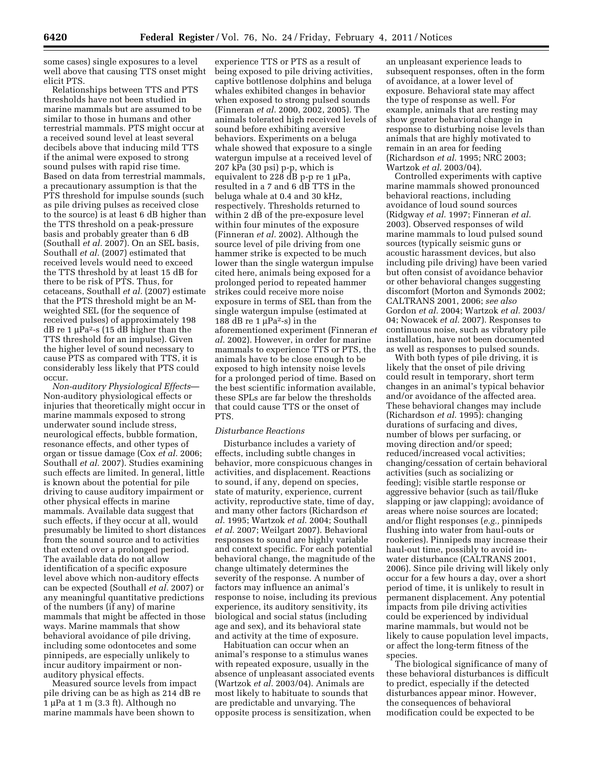some cases) single exposures to a level well above that causing TTS onset might elicit PTS.

Relationships between TTS and PTS thresholds have not been studied in marine mammals but are assumed to be similar to those in humans and other terrestrial mammals. PTS might occur at a received sound level at least several decibels above that inducing mild TTS if the animal were exposed to strong sound pulses with rapid rise time. Based on data from terrestrial mammals, a precautionary assumption is that the PTS threshold for impulse sounds (such as pile driving pulses as received close to the source) is at least 6 dB higher than the TTS threshold on a peak-pressure basis and probably greater than 6 dB (Southall *et al.* 2007). On an SEL basis, Southall *et al.* (2007) estimated that received levels would need to exceed the TTS threshold by at least 15 dB for there to be risk of PTS. Thus, for cetaceans, Southall *et al.* (2007) estimate that the PTS threshold might be an Mweighted SEL (for the sequence of received pulses) of approximately 198 dB re 1  $\mu$ Pa<sup>2</sup>-s (15 dB higher than the TTS threshold for an impulse). Given the higher level of sound necessary to cause PTS as compared with TTS, it is considerably less likely that PTS could occur.

*Non-auditory Physiological Effects*— Non-auditory physiological effects or injuries that theoretically might occur in marine mammals exposed to strong underwater sound include stress, neurological effects, bubble formation, resonance effects, and other types of organ or tissue damage (Cox *et al.* 2006; Southall *et al.* 2007). Studies examining such effects are limited. In general, little is known about the potential for pile driving to cause auditory impairment or other physical effects in marine mammals. Available data suggest that such effects, if they occur at all, would presumably be limited to short distances from the sound source and to activities that extend over a prolonged period. The available data do not allow identification of a specific exposure level above which non-auditory effects can be expected (Southall *et al.* 2007) or any meaningful quantitative predictions of the numbers (if any) of marine mammals that might be affected in those ways. Marine mammals that show behavioral avoidance of pile driving, including some odontocetes and some pinnipeds, are especially unlikely to incur auditory impairment or nonauditory physical effects.

Measured source levels from impact pile driving can be as high as 214 dB re  $1 \mu$ Pa at  $1 \text{ m}$  (3.3 ft). Although no marine mammals have been shown to

experience TTS or PTS as a result of being exposed to pile driving activities, captive bottlenose dolphins and beluga whales exhibited changes in behavior when exposed to strong pulsed sounds (Finneran *et al.* 2000, 2002, 2005). The animals tolerated high received levels of sound before exhibiting aversive behaviors. Experiments on a beluga whale showed that exposure to a single watergun impulse at a received level of 207 kPa (30 psi) p-p, which is equivalent to  $228 \text{ dB}$  p-p re 1  $\mu$ Pa, resulted in a 7 and 6 dB TTS in the beluga whale at 0.4 and 30 kHz, respectively. Thresholds returned to within 2 dB of the pre-exposure level within four minutes of the exposure (Finneran *et al.* 2002). Although the source level of pile driving from one hammer strike is expected to be much lower than the single watergun impulse cited here, animals being exposed for a prolonged period to repeated hammer strikes could receive more noise exposure in terms of SEL than from the single watergun impulse (estimated at 188 dB re 1  $\mu$ Pa<sup>2</sup>-s) in the aforementioned experiment (Finneran *et al.* 2002). However, in order for marine mammals to experience TTS or PTS, the animals have to be close enough to be exposed to high intensity noise levels for a prolonged period of time. Based on the best scientific information available, these SPLs are far below the thresholds that could cause TTS or the onset of PTS.

#### *Disturbance Reactions*

Disturbance includes a variety of effects, including subtle changes in behavior, more conspicuous changes in activities, and displacement. Reactions to sound, if any, depend on species, state of maturity, experience, current activity, reproductive state, time of day, and many other factors (Richardson *et al.* 1995; Wartzok *et al.* 2004; Southall *et al.* 2007; Weilgart 2007). Behavioral responses to sound are highly variable and context specific. For each potential behavioral change, the magnitude of the change ultimately determines the severity of the response. A number of factors may influence an animal's response to noise, including its previous experience, its auditory sensitivity, its biological and social status (including age and sex), and its behavioral state and activity at the time of exposure.

Habituation can occur when an animal's response to a stimulus wanes with repeated exposure, usually in the absence of unpleasant associated events (Wartzok *et al.* 2003/04). Animals are most likely to habituate to sounds that are predictable and unvarying. The opposite process is sensitization, when

an unpleasant experience leads to subsequent responses, often in the form of avoidance, at a lower level of exposure. Behavioral state may affect the type of response as well. For example, animals that are resting may show greater behavioral change in response to disturbing noise levels than animals that are highly motivated to remain in an area for feeding (Richardson *et al.* 1995; NRC 2003; Wartzok *et al.* 2003/04).

Controlled experiments with captive marine mammals showed pronounced behavioral reactions, including avoidance of loud sound sources (Ridgway *et al.* 1997; Finneran *et al.*  2003). Observed responses of wild marine mammals to loud pulsed sound sources (typically seismic guns or acoustic harassment devices, but also including pile driving) have been varied but often consist of avoidance behavior or other behavioral changes suggesting discomfort (Morton and Symonds 2002; CALTRANS 2001, 2006; *see also*  Gordon *et al.* 2004; Wartzok *et al.* 2003/ 04; Nowacek *et al.* 2007). Responses to continuous noise, such as vibratory pile installation, have not been documented as well as responses to pulsed sounds.

With both types of pile driving, it is likely that the onset of pile driving could result in temporary, short term changes in an animal's typical behavior and/or avoidance of the affected area. These behavioral changes may include (Richardson *et al.* 1995): changing durations of surfacing and dives, number of blows per surfacing, or moving direction and/or speed; reduced/increased vocal activities; changing/cessation of certain behavioral activities (such as socializing or feeding); visible startle response or aggressive behavior (such as tail/fluke slapping or jaw clapping); avoidance of areas where noise sources are located; and/or flight responses (*e.g.,* pinnipeds flushing into water from haul-outs or rookeries). Pinnipeds may increase their haul-out time, possibly to avoid inwater disturbance (CALTRANS 2001, 2006). Since pile driving will likely only occur for a few hours a day, over a short period of time, it is unlikely to result in permanent displacement. Any potential impacts from pile driving activities could be experienced by individual marine mammals, but would not be likely to cause population level impacts, or affect the long-term fitness of the species.

The biological significance of many of these behavioral disturbances is difficult to predict, especially if the detected disturbances appear minor. However, the consequences of behavioral modification could be expected to be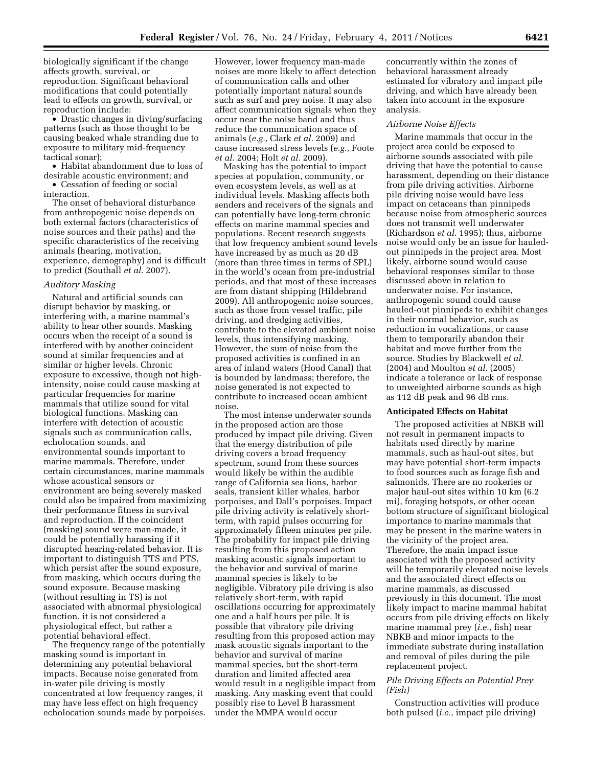biologically significant if the change affects growth, survival, or reproduction. Significant behavioral modifications that could potentially lead to effects on growth, survival, or reproduction include:

• Drastic changes in diving/surfacing patterns (such as those thought to be causing beaked whale stranding due to exposure to military mid-frequency tactical sonar);

• Habitat abandonment due to loss of desirable acoustic environment; and

• Cessation of feeding or social interaction.

The onset of behavioral disturbance from anthropogenic noise depends on both external factors (characteristics of noise sources and their paths) and the specific characteristics of the receiving animals (hearing, motivation, experience, demography) and is difficult to predict (Southall *et al.* 2007).

#### *Auditory Masking*

Natural and artificial sounds can disrupt behavior by masking, or interfering with, a marine mammal's ability to hear other sounds. Masking occurs when the receipt of a sound is interfered with by another coincident sound at similar frequencies and at similar or higher levels. Chronic exposure to excessive, though not highintensity, noise could cause masking at particular frequencies for marine mammals that utilize sound for vital biological functions. Masking can interfere with detection of acoustic signals such as communication calls, echolocation sounds, and environmental sounds important to marine mammals. Therefore, under certain circumstances, marine mammals whose acoustical sensors or environment are being severely masked could also be impaired from maximizing their performance fitness in survival and reproduction. If the coincident (masking) sound were man-made, it could be potentially harassing if it disrupted hearing-related behavior. It is important to distinguish TTS and PTS, which persist after the sound exposure, from masking, which occurs during the sound exposure. Because masking (without resulting in TS) is not associated with abnormal physiological function, it is not considered a physiological effect, but rather a potential behavioral effect.

The frequency range of the potentially masking sound is important in determining any potential behavioral impacts. Because noise generated from in-water pile driving is mostly concentrated at low frequency ranges, it may have less effect on high frequency echolocation sounds made by porpoises.

However, lower frequency man-made noises are more likely to affect detection of communication calls and other potentially important natural sounds such as surf and prey noise. It may also affect communication signals when they occur near the noise band and thus reduce the communication space of animals (*e.g.,* Clark *et al.* 2009) and cause increased stress levels (*e.g.,* Foote *et al.* 2004; Holt *et al.* 2009).

Masking has the potential to impact species at population, community, or even ecosystem levels, as well as at individual levels. Masking affects both senders and receivers of the signals and can potentially have long-term chronic effects on marine mammal species and populations. Recent research suggests that low frequency ambient sound levels have increased by as much as 20 dB (more than three times in terms of SPL) in the world's ocean from pre-industrial periods, and that most of these increases are from distant shipping (Hildebrand 2009). All anthropogenic noise sources, such as those from vessel traffic, pile driving, and dredging activities, contribute to the elevated ambient noise levels, thus intensifying masking. However, the sum of noise from the proposed activities is confined in an area of inland waters (Hood Canal) that is bounded by landmass; therefore, the noise generated is not expected to contribute to increased ocean ambient noise.

The most intense underwater sounds in the proposed action are those produced by impact pile driving. Given that the energy distribution of pile driving covers a broad frequency spectrum, sound from these sources would likely be within the audible range of California sea lions, harbor seals, transient killer whales, harbor porpoises, and Dall's porpoises. Impact pile driving activity is relatively shortterm, with rapid pulses occurring for approximately fifteen minutes per pile. The probability for impact pile driving resulting from this proposed action masking acoustic signals important to the behavior and survival of marine mammal species is likely to be negligible. Vibratory pile driving is also relatively short-term, with rapid oscillations occurring for approximately one and a half hours per pile. It is possible that vibratory pile driving resulting from this proposed action may mask acoustic signals important to the behavior and survival of marine mammal species, but the short-term duration and limited affected area would result in a negligible impact from masking. Any masking event that could possibly rise to Level B harassment under the MMPA would occur

concurrently within the zones of behavioral harassment already estimated for vibratory and impact pile driving, and which have already been taken into account in the exposure analysis.

#### *Airborne Noise Effects*

Marine mammals that occur in the project area could be exposed to airborne sounds associated with pile driving that have the potential to cause harassment, depending on their distance from pile driving activities. Airborne pile driving noise would have less impact on cetaceans than pinnipeds because noise from atmospheric sources does not transmit well underwater (Richardson *et al.* 1995); thus, airborne noise would only be an issue for hauledout pinnipeds in the project area. Most likely, airborne sound would cause behavioral responses similar to those discussed above in relation to underwater noise. For instance, anthropogenic sound could cause hauled-out pinnipeds to exhibit changes in their normal behavior, such as reduction in vocalizations, or cause them to temporarily abandon their habitat and move further from the source. Studies by Blackwell *et al.*  (2004) and Moulton *et al.* (2005) indicate a tolerance or lack of response to unweighted airborne sounds as high as 112 dB peak and 96 dB rms.

# **Anticipated Effects on Habitat**

The proposed activities at NBKB will not result in permanent impacts to habitats used directly by marine mammals, such as haul-out sites, but may have potential short-term impacts to food sources such as forage fish and salmonids. There are no rookeries or major haul-out sites within 10 km (6.2 mi), foraging hotspots, or other ocean bottom structure of significant biological importance to marine mammals that may be present in the marine waters in the vicinity of the project area. Therefore, the main impact issue associated with the proposed activity will be temporarily elevated noise levels and the associated direct effects on marine mammals, as discussed previously in this document. The most likely impact to marine mammal habitat occurs from pile driving effects on likely marine mammal prey (*i.e.,* fish) near NBKB and minor impacts to the immediate substrate during installation and removal of piles during the pile replacement project.

# *Pile Driving Effects on Potential Prey (Fish)*

Construction activities will produce both pulsed (*i.e.,* impact pile driving)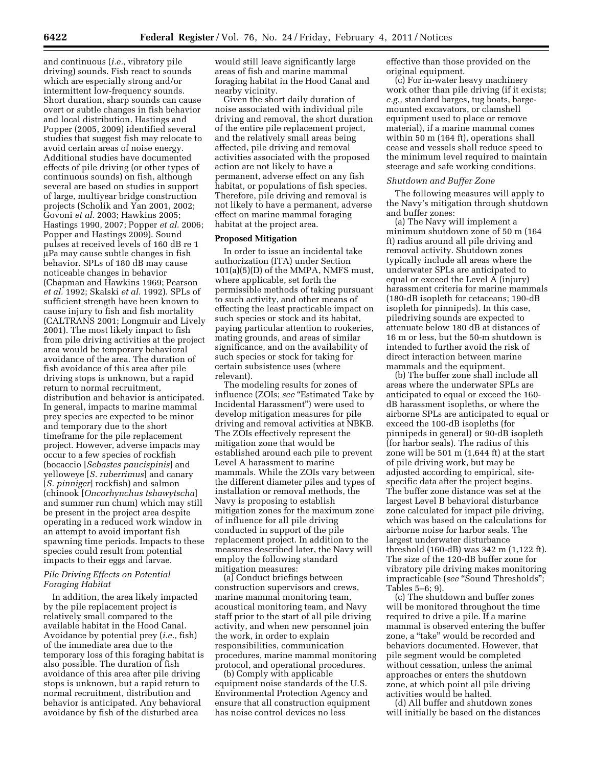and continuous (*i.e.,* vibratory pile driving) sounds. Fish react to sounds which are especially strong and/or intermittent low-frequency sounds. Short duration, sharp sounds can cause overt or subtle changes in fish behavior and local distribution. Hastings and Popper (2005, 2009) identified several studies that suggest fish may relocate to avoid certain areas of noise energy. Additional studies have documented effects of pile driving (or other types of continuous sounds) on fish, although several are based on studies in support of large, multiyear bridge construction projects (Scholik and Yan 2001, 2002; Govoni *et al.* 2003; Hawkins 2005; Hastings 1990, 2007; Popper *et al.* 2006; Popper and Hastings 2009). Sound pulses at received levels of 160 dB re 1 μPa may cause subtle changes in fish behavior. SPLs of 180 dB may cause noticeable changes in behavior (Chapman and Hawkins 1969; Pearson *et al.* 1992; Skalski *et al.* 1992). SPLs of sufficient strength have been known to cause injury to fish and fish mortality (CALTRANS 2001; Longmuir and Lively 2001). The most likely impact to fish from pile driving activities at the project area would be temporary behavioral avoidance of the area. The duration of fish avoidance of this area after pile driving stops is unknown, but a rapid return to normal recruitment, distribution and behavior is anticipated. In general, impacts to marine mammal prey species are expected to be minor and temporary due to the short timeframe for the pile replacement project. However, adverse impacts may occur to a few species of rockfish (bocaccio [*Sebastes paucispinis*] and yelloweye [*S. ruberrimus*] and canary [*S. pinniger*] rockfish) and salmon (chinook [*Oncorhynchus tshawytscha*] and summer run chum) which may still be present in the project area despite operating in a reduced work window in an attempt to avoid important fish spawning time periods. Impacts to these species could result from potential impacts to their eggs and larvae.

# *Pile Driving Effects on Potential Foraging Habitat*

In addition, the area likely impacted by the pile replacement project is relatively small compared to the available habitat in the Hood Canal. Avoidance by potential prey (*i.e.,* fish) of the immediate area due to the temporary loss of this foraging habitat is also possible. The duration of fish avoidance of this area after pile driving stops is unknown, but a rapid return to normal recruitment, distribution and behavior is anticipated. Any behavioral avoidance by fish of the disturbed area

would still leave significantly large areas of fish and marine mammal foraging habitat in the Hood Canal and nearby vicinity.

Given the short daily duration of noise associated with individual pile driving and removal, the short duration of the entire pile replacement project, and the relatively small areas being affected, pile driving and removal activities associated with the proposed action are not likely to have a permanent, adverse effect on any fish habitat, or populations of fish species. Therefore, pile driving and removal is not likely to have a permanent, adverse effect on marine mammal foraging habitat at the project area.

### **Proposed Mitigation**

In order to issue an incidental take authorization (ITA) under Section 101(a)(5)(D) of the MMPA, NMFS must, where applicable, set forth the permissible methods of taking pursuant to such activity, and other means of effecting the least practicable impact on such species or stock and its habitat, paying particular attention to rookeries, mating grounds, and areas of similar significance, and on the availability of such species or stock for taking for certain subsistence uses (where relevant).

The modeling results for zones of influence (ZOIs; see "Estimated Take by Incidental Harassment'') were used to develop mitigation measures for pile driving and removal activities at NBKB. The ZOIs effectively represent the mitigation zone that would be established around each pile to prevent Level A harassment to marine mammals. While the ZOIs vary between the different diameter piles and types of installation or removal methods, the Navy is proposing to establish mitigation zones for the maximum zone of influence for all pile driving conducted in support of the pile replacement project. In addition to the measures described later, the Navy will employ the following standard mitigation measures:

(a) Conduct briefings between construction supervisors and crews, marine mammal monitoring team, acoustical monitoring team, and Navy staff prior to the start of all pile driving activity, and when new personnel join the work, in order to explain responsibilities, communication procedures, marine mammal monitoring protocol, and operational procedures.

(b) Comply with applicable equipment noise standards of the U.S. Environmental Protection Agency and ensure that all construction equipment has noise control devices no less

effective than those provided on the original equipment.

(c) For in-water heavy machinery work other than pile driving (if it exists; *e.g.,* standard barges, tug boats, bargemounted excavators, or clamshell equipment used to place or remove material), if a marine mammal comes within 50 m (164 ft), operations shall cease and vessels shall reduce speed to the minimum level required to maintain steerage and safe working conditions.

### *Shutdown and Buffer Zone*

The following measures will apply to the Navy's mitigation through shutdown and buffer zones:

(a) The Navy will implement a minimum shutdown zone of 50 m (164 ft) radius around all pile driving and removal activity. Shutdown zones typically include all areas where the underwater SPLs are anticipated to equal or exceed the Level A (injury) harassment criteria for marine mammals (180-dB isopleth for cetaceans; 190-dB isopleth for pinnipeds). In this case, piledriving sounds are expected to attenuate below 180 dB at distances of 16 m or less, but the 50-m shutdown is intended to further avoid the risk of direct interaction between marine mammals and the equipment.

(b) The buffer zone shall include all areas where the underwater SPLs are anticipated to equal or exceed the 160 dB harassment isopleths, or where the airborne SPLs are anticipated to equal or exceed the 100-dB isopleths (for pinnipeds in general) or 90-dB isopleth (for harbor seals). The radius of this zone will be 501 m (1,644 ft) at the start of pile driving work, but may be adjusted according to empirical, sitespecific data after the project begins. The buffer zone distance was set at the largest Level B behavioral disturbance zone calculated for impact pile driving, which was based on the calculations for airborne noise for harbor seals. The largest underwater disturbance threshold (160-dB) was 342 m (1,122 ft). The size of the 120-dB buffer zone for vibratory pile driving makes monitoring impracticable (*see* "Sound Thresholds"; Tables 5–6; 9).

(c) The shutdown and buffer zones will be monitored throughout the time required to drive a pile. If a marine mammal is observed entering the buffer zone, a ''take'' would be recorded and behaviors documented. However, that pile segment would be completed without cessation, unless the animal approaches or enters the shutdown zone, at which point all pile driving activities would be halted.

(d) All buffer and shutdown zones will initially be based on the distances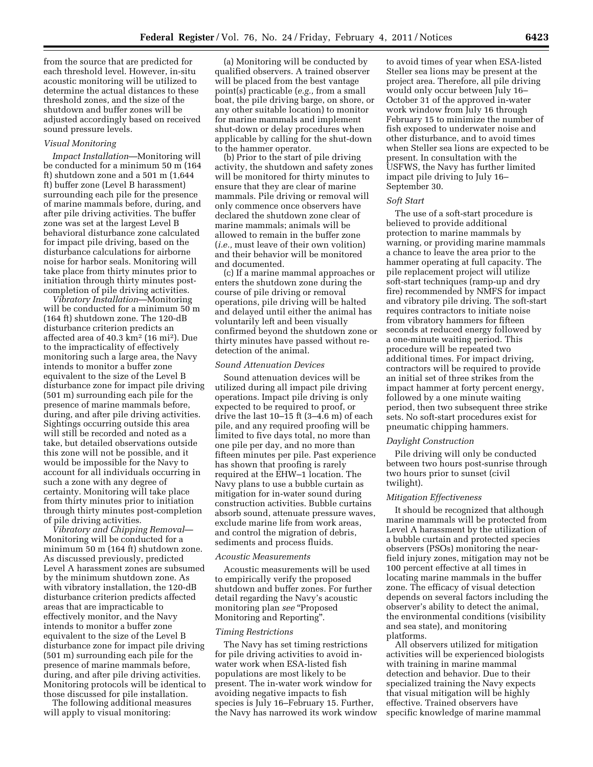from the source that are predicted for each threshold level. However, in-situ acoustic monitoring will be utilized to determine the actual distances to these threshold zones, and the size of the shutdown and buffer zones will be adjusted accordingly based on received sound pressure levels.

# *Visual Monitoring*

*Impact Installation*—Monitoring will be conducted for a minimum 50 m (164 ft) shutdown zone and a 501 m (1,644 ft) buffer zone (Level B harassment) surrounding each pile for the presence of marine mammals before, during, and after pile driving activities. The buffer zone was set at the largest Level B behavioral disturbance zone calculated for impact pile driving, based on the disturbance calculations for airborne noise for harbor seals. Monitoring will take place from thirty minutes prior to initiation through thirty minutes postcompletion of pile driving activities.

*Vibratory Installation*—Monitoring will be conducted for a minimum 50 m (164 ft) shutdown zone. The 120-dB disturbance criterion predicts an affected area of 40.3 km2 (16 mi2). Due to the impracticality of effectively monitoring such a large area, the Navy intends to monitor a buffer zone equivalent to the size of the Level B disturbance zone for impact pile driving (501 m) surrounding each pile for the presence of marine mammals before, during, and after pile driving activities. Sightings occurring outside this area will still be recorded and noted as a take, but detailed observations outside this zone will not be possible, and it would be impossible for the Navy to account for all individuals occurring in such a zone with any degree of certainty. Monitoring will take place from thirty minutes prior to initiation through thirty minutes post-completion of pile driving activities.

*Vibratory and Chipping Removal*— Monitoring will be conducted for a minimum 50 m (164 ft) shutdown zone. As discussed previously, predicted Level A harassment zones are subsumed by the minimum shutdown zone. As with vibratory installation, the 120-dB disturbance criterion predicts affected areas that are impracticable to effectively monitor, and the Navy intends to monitor a buffer zone equivalent to the size of the Level B disturbance zone for impact pile driving (501 m) surrounding each pile for the presence of marine mammals before, during, and after pile driving activities. Monitoring protocols will be identical to those discussed for pile installation.

The following additional measures will apply to visual monitoring:

(a) Monitoring will be conducted by qualified observers. A trained observer will be placed from the best vantage point(s) practicable (*e.g.,* from a small boat, the pile driving barge, on shore, or any other suitable location) to monitor for marine mammals and implement shut-down or delay procedures when applicable by calling for the shut-down to the hammer operator.

(b) Prior to the start of pile driving activity, the shutdown and safety zones will be monitored for thirty minutes to ensure that they are clear of marine mammals. Pile driving or removal will only commence once observers have declared the shutdown zone clear of marine mammals; animals will be allowed to remain in the buffer zone (*i.e.,* must leave of their own volition) and their behavior will be monitored and documented.

(c) If a marine mammal approaches or enters the shutdown zone during the course of pile driving or removal operations, pile driving will be halted and delayed until either the animal has voluntarily left and been visually confirmed beyond the shutdown zone or thirty minutes have passed without redetection of the animal.

#### *Sound Attenuation Devices*

Sound attenuation devices will be utilized during all impact pile driving operations. Impact pile driving is only expected to be required to proof, or drive the last 10–15 ft (3–4.6 m) of each pile, and any required proofing will be limited to five days total, no more than one pile per day, and no more than fifteen minutes per pile. Past experience has shown that proofing is rarely required at the EHW–1 location. The Navy plans to use a bubble curtain as mitigation for in-water sound during construction activities. Bubble curtains absorb sound, attenuate pressure waves, exclude marine life from work areas, and control the migration of debris, sediments and process fluids.

#### *Acoustic Measurements*

Acoustic measurements will be used to empirically verify the proposed shutdown and buffer zones. For further detail regarding the Navy's acoustic monitoring plan *see* "Proposed Monitoring and Reporting''.

## *Timing Restrictions*

The Navy has set timing restrictions for pile driving activities to avoid inwater work when ESA-listed fish populations are most likely to be present. The in-water work window for avoiding negative impacts to fish species is July 16–February 15. Further, the Navy has narrowed its work window

to avoid times of year when ESA-listed Steller sea lions may be present at the project area. Therefore, all pile driving would only occur between July 16– October 31 of the approved in-water work window from July 16 through February 15 to minimize the number of fish exposed to underwater noise and other disturbance, and to avoid times when Steller sea lions are expected to be present. In consultation with the USFWS, the Navy has further limited impact pile driving to July 16– September 30.

### *Soft Start*

The use of a soft-start procedure is believed to provide additional protection to marine mammals by warning, or providing marine mammals a chance to leave the area prior to the hammer operating at full capacity. The pile replacement project will utilize soft-start techniques (ramp-up and dry fire) recommended by NMFS for impact and vibratory pile driving. The soft-start requires contractors to initiate noise from vibratory hammers for fifteen seconds at reduced energy followed by a one-minute waiting period. This procedure will be repeated two additional times. For impact driving, contractors will be required to provide an initial set of three strikes from the impact hammer at forty percent energy, followed by a one minute waiting period, then two subsequent three strike sets. No soft-start procedures exist for pneumatic chipping hammers.

#### *Daylight Construction*

Pile driving will only be conducted between two hours post-sunrise through two hours prior to sunset (civil twilight).

#### *Mitigation Effectiveness*

It should be recognized that although marine mammals will be protected from Level A harassment by the utilization of a bubble curtain and protected species observers (PSOs) monitoring the nearfield injury zones, mitigation may not be 100 percent effective at all times in locating marine mammals in the buffer zone. The efficacy of visual detection depends on several factors including the observer's ability to detect the animal, the environmental conditions (visibility and sea state), and monitoring platforms.

All observers utilized for mitigation activities will be experienced biologists with training in marine mammal detection and behavior. Due to their specialized training the Navy expects that visual mitigation will be highly effective. Trained observers have specific knowledge of marine mammal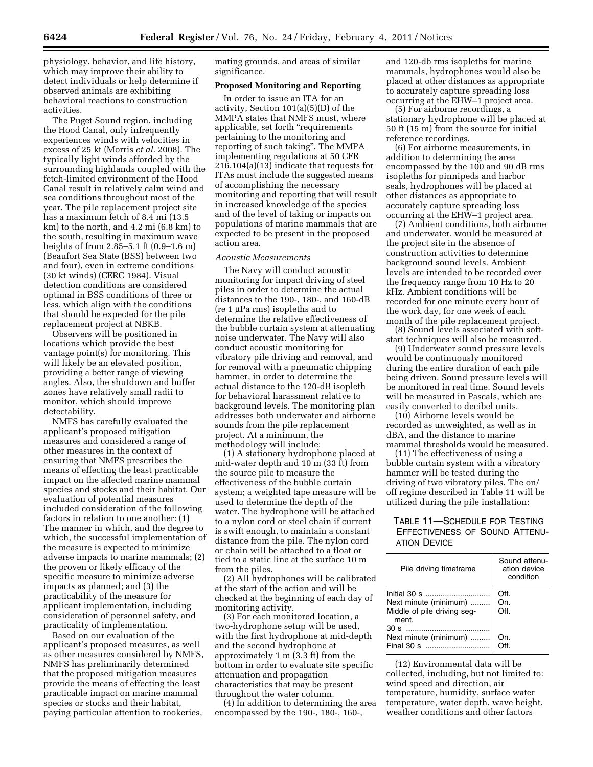physiology, behavior, and life history, which may improve their ability to detect individuals or help determine if observed animals are exhibiting behavioral reactions to construction activities.

The Puget Sound region, including the Hood Canal, only infrequently experiences winds with velocities in excess of 25 kt (Morris *et al.* 2008). The typically light winds afforded by the surrounding highlands coupled with the fetch-limited environment of the Hood Canal result in relatively calm wind and sea conditions throughout most of the year. The pile replacement project site has a maximum fetch of 8.4 mi (13.5 km) to the north, and 4.2 mi (6.8 km) to the south, resulting in maximum wave heights of from 2.85–5.1 ft (0.9–1.6 m) (Beaufort Sea State (BSS) between two and four), even in extreme conditions (30 kt winds) (CERC 1984). Visual detection conditions are considered optimal in BSS conditions of three or less, which align with the conditions that should be expected for the pile replacement project at NBKB.

Observers will be positioned in locations which provide the best vantage point(s) for monitoring. This will likely be an elevated position, providing a better range of viewing angles. Also, the shutdown and buffer zones have relatively small radii to monitor, which should improve detectability.

NMFS has carefully evaluated the applicant's proposed mitigation measures and considered a range of other measures in the context of ensuring that NMFS prescribes the means of effecting the least practicable impact on the affected marine mammal species and stocks and their habitat. Our evaluation of potential measures included consideration of the following factors in relation to one another: (1) The manner in which, and the degree to which, the successful implementation of the measure is expected to minimize adverse impacts to marine mammals; (2) the proven or likely efficacy of the specific measure to minimize adverse impacts as planned; and (3) the practicability of the measure for applicant implementation, including consideration of personnel safety, and practicality of implementation.

Based on our evaluation of the applicant's proposed measures, as well as other measures considered by NMFS, NMFS has preliminarily determined that the proposed mitigation measures provide the means of effecting the least practicable impact on marine mammal species or stocks and their habitat, paying particular attention to rookeries,

mating grounds, and areas of similar significance.

# **Proposed Monitoring and Reporting**

In order to issue an ITA for an activity, Section 101(a)(5)(D) of the MMPA states that NMFS must, where applicable, set forth ''requirements pertaining to the monitoring and reporting of such taking''. The MMPA implementing regulations at 50 CFR 216.104(a)(13) indicate that requests for ITAs must include the suggested means of accomplishing the necessary monitoring and reporting that will result in increased knowledge of the species and of the level of taking or impacts on populations of marine mammals that are expected to be present in the proposed action area.

### *Acoustic Measurements*

The Navy will conduct acoustic monitoring for impact driving of steel piles in order to determine the actual distances to the 190-, 180-, and 160-dB (re 1 μPa rms) isopleths and to determine the relative effectiveness of the bubble curtain system at attenuating noise underwater. The Navy will also conduct acoustic monitoring for vibratory pile driving and removal, and for removal with a pneumatic chipping hammer, in order to determine the actual distance to the 120-dB isopleth for behavioral harassment relative to background levels. The monitoring plan addresses both underwater and airborne sounds from the pile replacement project. At a minimum, the methodology will include:

(1) A stationary hydrophone placed at mid-water depth and 10 m (33 ft) from the source pile to measure the effectiveness of the bubble curtain system; a weighted tape measure will be used to determine the depth of the water. The hydrophone will be attached to a nylon cord or steel chain if current is swift enough, to maintain a constant distance from the pile. The nylon cord or chain will be attached to a float or tied to a static line at the surface 10 m from the piles.

(2) All hydrophones will be calibrated at the start of the action and will be checked at the beginning of each day of monitoring activity.

(3) For each monitored location, a two-hydrophone setup will be used, with the first hydrophone at mid-depth and the second hydrophone at approximately 1 m (3.3 ft) from the bottom in order to evaluate site specific attenuation and propagation characteristics that may be present throughout the water column.

(4) In addition to determining the area encompassed by the 190-, 180-, 160-,

and 120-db rms isopleths for marine mammals, hydrophones would also be placed at other distances as appropriate to accurately capture spreading loss occurring at the EHW–1 project area.

(5) For airborne recordings, a stationary hydrophone will be placed at 50 ft (15 m) from the source for initial reference recordings.

(6) For airborne measurements, in addition to determining the area encompassed by the 100 and 90 dB rms isopleths for pinnipeds and harbor seals, hydrophones will be placed at other distances as appropriate to accurately capture spreading loss occurring at the EHW–1 project area.

(7) Ambient conditions, both airborne and underwater, would be measured at the project site in the absence of construction activities to determine background sound levels. Ambient levels are intended to be recorded over the frequency range from 10 Hz to 20 kHz. Ambient conditions will be recorded for one minute every hour of the work day, for one week of each month of the pile replacement project.

(8) Sound levels associated with softstart techniques will also be measured.

(9) Underwater sound pressure levels would be continuously monitored during the entire duration of each pile being driven. Sound pressure levels will be monitored in real time. Sound levels will be measured in Pascals, which are easily converted to decibel units.

(10) Airborne levels would be recorded as unweighted, as well as in dBA, and the distance to marine mammal thresholds would be measured.

(11) The effectiveness of using a bubble curtain system with a vibratory hammer will be tested during the driving of two vibratory piles. The on/ off regime described in Table 11 will be utilized during the pile installation:

# TABLE 11—SCHEDULE FOR TESTING EFFECTIVENESS OF SOUND ATTENU-ATION DEVICE

| Pile driving timeframe                                                     | Sound attenu-<br>ation device<br>condition |
|----------------------------------------------------------------------------|--------------------------------------------|
| Next minute (minimum)  On.<br>Middle of pile driving seg-<br>Off.<br>ment. | Off.                                       |
| Next minute (minimum)                                                      | On.                                        |

(12) Environmental data will be collected, including, but not limited to: wind speed and direction, air temperature, humidity, surface water temperature, water depth, wave height, weather conditions and other factors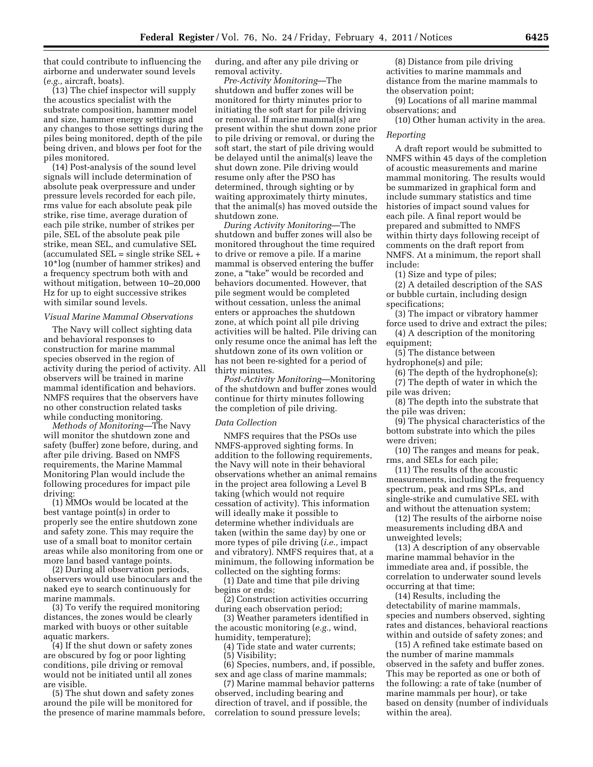that could contribute to influencing the airborne and underwater sound levels (*e.g.,* aircraft, boats).

(13) The chief inspector will supply the acoustics specialist with the substrate composition, hammer model and size, hammer energy settings and any changes to those settings during the piles being monitored, depth of the pile being driven, and blows per foot for the piles monitored.

(14) Post-analysis of the sound level signals will include determination of absolute peak overpressure and under pressure levels recorded for each pile, rms value for each absolute peak pile strike, rise time, average duration of each pile strike, number of strikes per pile, SEL of the absolute peak pile strike, mean SEL, and cumulative SEL (accumulated SEL = single strike SEL + 10\*log (number of hammer strikes) and a frequency spectrum both with and without mitigation, between 10–20,000 Hz for up to eight successive strikes with similar sound levels.

#### *Visual Marine Mammal Observations*

The Navy will collect sighting data and behavioral responses to construction for marine mammal species observed in the region of activity during the period of activity. All observers will be trained in marine mammal identification and behaviors. NMFS requires that the observers have no other construction related tasks while conducting monitoring.

*Methods of Monitoring*—The Navy will monitor the shutdown zone and safety (buffer) zone before, during, and after pile driving. Based on NMFS requirements, the Marine Mammal Monitoring Plan would include the following procedures for impact pile driving:

(1) MMOs would be located at the best vantage point(s) in order to properly see the entire shutdown zone and safety zone. This may require the use of a small boat to monitor certain areas while also monitoring from one or more land based vantage points.

(2) During all observation periods, observers would use binoculars and the naked eye to search continuously for marine mammals.

(3) To verify the required monitoring distances, the zones would be clearly marked with buoys or other suitable aquatic markers.

(4) If the shut down or safety zones are obscured by fog or poor lighting conditions, pile driving or removal would not be initiated until all zones are visible.

(5) The shut down and safety zones around the pile will be monitored for the presence of marine mammals before, during, and after any pile driving or removal activity.

*Pre-Activity Monitoring*—The shutdown and buffer zones will be monitored for thirty minutes prior to initiating the soft start for pile driving or removal. If marine mammal(s) are present within the shut down zone prior to pile driving or removal, or during the soft start, the start of pile driving would be delayed until the animal(s) leave the shut down zone. Pile driving would resume only after the PSO has determined, through sighting or by waiting approximately thirty minutes, that the animal(s) has moved outside the shutdown zone.

*During Activity Monitoring*—The shutdown and buffer zones will also be monitored throughout the time required to drive or remove a pile. If a marine mammal is observed entering the buffer zone, a ''take'' would be recorded and behaviors documented. However, that pile segment would be completed without cessation, unless the animal enters or approaches the shutdown zone, at which point all pile driving activities will be halted. Pile driving can only resume once the animal has left the shutdown zone of its own volition or has not been re-sighted for a period of thirty minutes.

*Post-Activity Monitoring*—Monitoring of the shutdown and buffer zones would continue for thirty minutes following the completion of pile driving.

#### *Data Collection*

NMFS requires that the PSOs use NMFS-approved sighting forms. In addition to the following requirements, the Navy will note in their behavioral observations whether an animal remains in the project area following a Level B taking (which would not require cessation of activity). This information will ideally make it possible to determine whether individuals are taken (within the same day) by one or more types of pile driving (*i.e.,* impact and vibratory). NMFS requires that, at a minimum, the following information be collected on the sighting forms:

(1) Date and time that pile driving begins or ends;

(2) Construction activities occurring during each observation period;

(3) Weather parameters identified in the acoustic monitoring (*e.g.,* wind, humidity, temperature);

(4) Tide state and water currents; (5) Visibility;

(6) Species, numbers, and, if possible, sex and age class of marine mammals; (7) Marine mammal behavior patterns

observed, including bearing and direction of travel, and if possible, the correlation to sound pressure levels;

(8) Distance from pile driving activities to marine mammals and distance from the marine mammals to the observation point;

(9) Locations of all marine mammal observations; and

(10) Other human activity in the area.

#### *Reporting*

A draft report would be submitted to NMFS within 45 days of the completion of acoustic measurements and marine mammal monitoring. The results would be summarized in graphical form and include summary statistics and time histories of impact sound values for each pile. A final report would be prepared and submitted to NMFS within thirty days following receipt of comments on the draft report from NMFS. At a minimum, the report shall include:

(1) Size and type of piles;

(2) A detailed description of the SAS or bubble curtain, including design specifications;

(3) The impact or vibratory hammer force used to drive and extract the piles;

(4) A description of the monitoring equipment;

(5) The distance between

hydrophone(s) and pile;

(6) The depth of the hydrophone(s); (7) The depth of water in which the pile was driven;

(8) The depth into the substrate that the pile was driven;

(9) The physical characteristics of the bottom substrate into which the piles were driven;

(10) The ranges and means for peak, rms, and SELs for each pile;

(11) The results of the acoustic measurements, including the frequency spectrum, peak and rms SPLs, and single-strike and cumulative SEL with and without the attenuation system;

(12) The results of the airborne noise measurements including dBA and unweighted levels;

(13) A description of any observable marine mammal behavior in the immediate area and, if possible, the correlation to underwater sound levels occurring at that time;

(14) Results, including the detectability of marine mammals, species and numbers observed, sighting rates and distances, behavioral reactions within and outside of safety zones; and

(15) A refined take estimate based on the number of marine mammals observed in the safety and buffer zones. This may be reported as one or both of the following: a rate of take (number of marine mammals per hour), or take based on density (number of individuals within the area).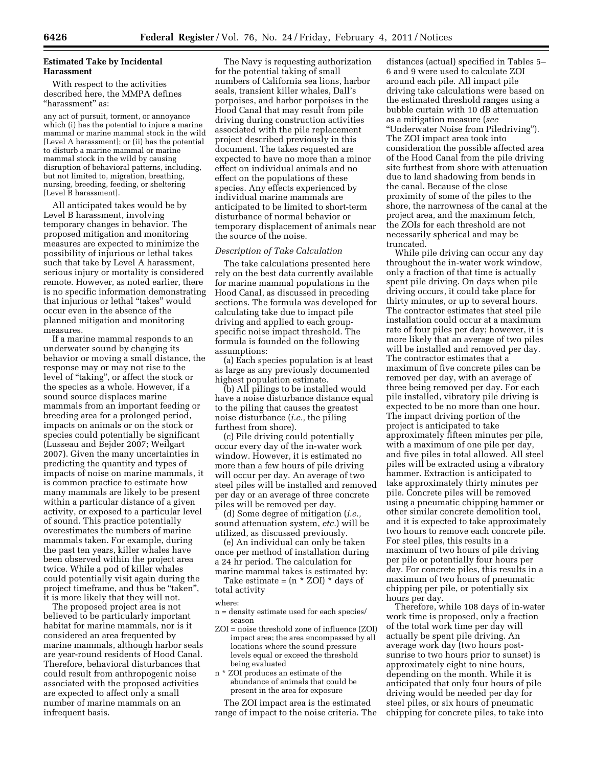# **Estimated Take by Incidental Harassment**

With respect to the activities described here, the MMPA defines ''harassment'' as:

any act of pursuit, torment, or annoyance which (i) has the potential to injure a marine mammal or marine mammal stock in the wild [Level A harassment]; or (ii) has the potential to disturb a marine mammal or marine mammal stock in the wild by causing disruption of behavioral patterns, including, but not limited to, migration, breathing, nursing, breeding, feeding, or sheltering [Level B harassment].

All anticipated takes would be by Level B harassment, involving temporary changes in behavior. The proposed mitigation and monitoring measures are expected to minimize the possibility of injurious or lethal takes such that take by Level A harassment, serious injury or mortality is considered remote. However, as noted earlier, there is no specific information demonstrating that injurious or lethal ''takes'' would occur even in the absence of the planned mitigation and monitoring measures.

If a marine mammal responds to an underwater sound by changing its behavior or moving a small distance, the response may or may not rise to the level of ''taking'', or affect the stock or the species as a whole. However, if a sound source displaces marine mammals from an important feeding or breeding area for a prolonged period, impacts on animals or on the stock or species could potentially be significant (Lusseau and Bejder 2007; Weilgart 2007). Given the many uncertainties in predicting the quantity and types of impacts of noise on marine mammals, it is common practice to estimate how many mammals are likely to be present within a particular distance of a given activity, or exposed to a particular level of sound. This practice potentially overestimates the numbers of marine mammals taken. For example, during the past ten years, killer whales have been observed within the project area twice. While a pod of killer whales could potentially visit again during the project timeframe, and thus be "taken", it is more likely that they will not.

The proposed project area is not believed to be particularly important habitat for marine mammals, nor is it considered an area frequented by marine mammals, although harbor seals are year-round residents of Hood Canal. Therefore, behavioral disturbances that could result from anthropogenic noise associated with the proposed activities are expected to affect only a small number of marine mammals on an infrequent basis.

The Navy is requesting authorization for the potential taking of small numbers of California sea lions, harbor seals, transient killer whales, Dall's porpoises, and harbor porpoises in the Hood Canal that may result from pile driving during construction activities associated with the pile replacement project described previously in this document. The takes requested are expected to have no more than a minor effect on individual animals and no effect on the populations of these species. Any effects experienced by individual marine mammals are anticipated to be limited to short-term disturbance of normal behavior or temporary displacement of animals near the source of the noise.

## *Description of Take Calculation*

The take calculations presented here rely on the best data currently available for marine mammal populations in the Hood Canal, as discussed in preceding sections. The formula was developed for calculating take due to impact pile driving and applied to each groupspecific noise impact threshold. The formula is founded on the following assumptions:

(a) Each species population is at least as large as any previously documented highest population estimate.

(b) All pilings to be installed would have a noise disturbance distance equal to the piling that causes the greatest noise disturbance (*i.e.,* the piling furthest from shore).

(c) Pile driving could potentially occur every day of the in-water work window. However, it is estimated no more than a few hours of pile driving will occur per day. An average of two steel piles will be installed and removed per day or an average of three concrete piles will be removed per day.

(d) Some degree of mitigation (*i.e.,*  sound attenuation system, *etc.*) will be utilized, as discussed previously.

(e) An individual can only be taken once per method of installation during a 24 hr period. The calculation for marine mammal takes is estimated by:

Take estimate =  $(n * ZOI) * days of$ total activity

### where:

- n = density estimate used for each species/ season
- ZOI = noise threshold zone of influence (ZOI) impact area; the area encompassed by all locations where the sound pressure levels equal or exceed the threshold being evaluated
- n \* ZOI produces an estimate of the abundance of animals that could be present in the area for exposure

The ZOI impact area is the estimated range of impact to the noise criteria. The

distances (actual) specified in Tables 5– 6 and 9 were used to calculate ZOI around each pile. All impact pile driving take calculations were based on the estimated threshold ranges using a bubble curtain with 10 dB attenuation as a mitigation measure (*see*  ''Underwater Noise from Piledriving''). The ZOI impact area took into consideration the possible affected area of the Hood Canal from the pile driving site furthest from shore with attenuation due to land shadowing from bends in the canal. Because of the close proximity of some of the piles to the shore, the narrowness of the canal at the project area, and the maximum fetch, the ZOIs for each threshold are not necessarily spherical and may be truncated.

While pile driving can occur any day throughout the in-water work window, only a fraction of that time is actually spent pile driving. On days when pile driving occurs, it could take place for thirty minutes, or up to several hours. The contractor estimates that steel pile installation could occur at a maximum rate of four piles per day; however, it is more likely that an average of two piles will be installed and removed per day. The contractor estimates that a maximum of five concrete piles can be removed per day, with an average of three being removed per day. For each pile installed, vibratory pile driving is expected to be no more than one hour. The impact driving portion of the project is anticipated to take approximately fifteen minutes per pile, with a maximum of one pile per day, and five piles in total allowed. All steel piles will be extracted using a vibratory hammer. Extraction is anticipated to take approximately thirty minutes per pile. Concrete piles will be removed using a pneumatic chipping hammer or other similar concrete demolition tool, and it is expected to take approximately two hours to remove each concrete pile. For steel piles, this results in a maximum of two hours of pile driving per pile or potentially four hours per day. For concrete piles, this results in a maximum of two hours of pneumatic chipping per pile, or potentially six hours per day.

Therefore, while 108 days of in-water work time is proposed, only a fraction of the total work time per day will actually be spent pile driving. An average work day (two hours postsunrise to two hours prior to sunset) is approximately eight to nine hours, depending on the month. While it is anticipated that only four hours of pile driving would be needed per day for steel piles, or six hours of pneumatic chipping for concrete piles, to take into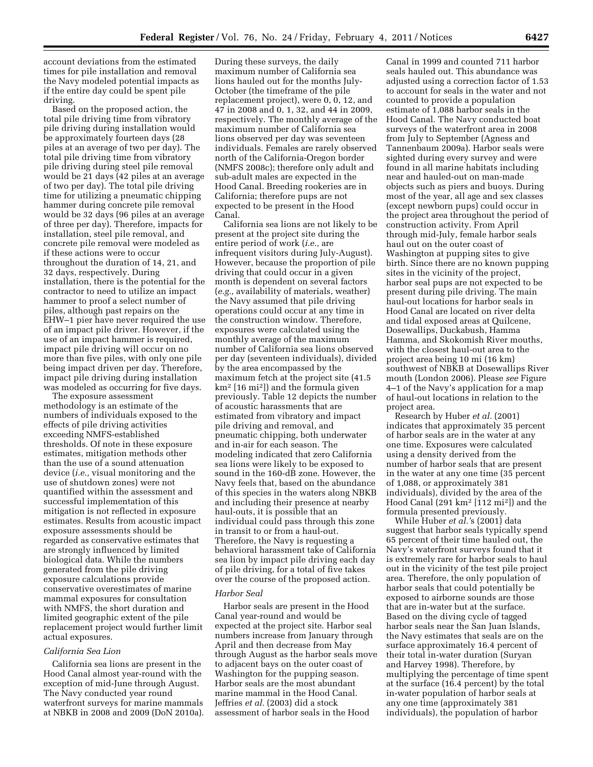account deviations from the estimated times for pile installation and removal the Navy modeled potential impacts as if the entire day could be spent pile driving.

Based on the proposed action, the total pile driving time from vibratory pile driving during installation would be approximately fourteen days (28 piles at an average of two per day). The total pile driving time from vibratory pile driving during steel pile removal would be 21 days (42 piles at an average of two per day). The total pile driving time for utilizing a pneumatic chipping hammer during concrete pile removal would be 32 days (96 piles at an average of three per day). Therefore, impacts for installation, steel pile removal, and concrete pile removal were modeled as if these actions were to occur throughout the duration of 14, 21, and 32 days, respectively. During installation, there is the potential for the contractor to need to utilize an impact hammer to proof a select number of piles, although past repairs on the EHW–1 pier have never required the use of an impact pile driver. However, if the use of an impact hammer is required, impact pile driving will occur on no more than five piles, with only one pile being impact driven per day. Therefore, impact pile driving during installation was modeled as occurring for five days.

The exposure assessment methodology is an estimate of the numbers of individuals exposed to the effects of pile driving activities exceeding NMFS-established thresholds. Of note in these exposure estimates, mitigation methods other than the use of a sound attenuation device (*i.e.,* visual monitoring and the use of shutdown zones) were not quantified within the assessment and successful implementation of this mitigation is not reflected in exposure estimates. Results from acoustic impact exposure assessments should be regarded as conservative estimates that are strongly influenced by limited biological data. While the numbers generated from the pile driving exposure calculations provide conservative overestimates of marine mammal exposures for consultation with NMFS, the short duration and limited geographic extent of the pile replacement project would further limit actual exposures.

# *California Sea Lion*

California sea lions are present in the Hood Canal almost year-round with the exception of mid-June through August. The Navy conducted year round waterfront surveys for marine mammals at NBKB in 2008 and 2009 (DoN 2010a).

During these surveys, the daily maximum number of California sea lions hauled out for the months July-October (the timeframe of the pile replacement project), were 0, 0, 12, and 47 in 2008 and 0, 1, 32, and 44 in 2009, respectively. The monthly average of the maximum number of California sea lions observed per day was seventeen individuals. Females are rarely observed north of the California-Oregon border (NMFS 2008c); therefore only adult and sub-adult males are expected in the Hood Canal. Breeding rookeries are in California; therefore pups are not expected to be present in the Hood Canal.

California sea lions are not likely to be present at the project site during the entire period of work (*i.e.,* are infrequent visitors during July-August). However, because the proportion of pile driving that could occur in a given month is dependent on several factors (*e.g.,* availability of materials, weather) the Navy assumed that pile driving operations could occur at any time in the construction window. Therefore, exposures were calculated using the monthly average of the maximum number of California sea lions observed per day (seventeen individuals), divided by the area encompassed by the maximum fetch at the project site (41.5 km2 [16 mi2]) and the formula given previously. Table 12 depicts the number of acoustic harassments that are estimated from vibratory and impact pile driving and removal, and pneumatic chipping, both underwater and in-air for each season. The modeling indicated that zero California sea lions were likely to be exposed to sound in the 160-dB zone. However, the Navy feels that, based on the abundance of this species in the waters along NBKB and including their presence at nearby haul-outs, it is possible that an individual could pass through this zone in transit to or from a haul-out. Therefore, the Navy is requesting a behavioral harassment take of California sea lion by impact pile driving each day of pile driving, for a total of five takes over the course of the proposed action.

## *Harbor Seal*

Harbor seals are present in the Hood Canal year-round and would be expected at the project site. Harbor seal numbers increase from January through April and then decrease from May through August as the harbor seals move to adjacent bays on the outer coast of Washington for the pupping season. Harbor seals are the most abundant marine mammal in the Hood Canal. Jeffries *et al.* (2003) did a stock assessment of harbor seals in the Hood

Canal in 1999 and counted 711 harbor seals hauled out. This abundance was adjusted using a correction factor of 1.53 to account for seals in the water and not counted to provide a population estimate of 1,088 harbor seals in the Hood Canal. The Navy conducted boat surveys of the waterfront area in 2008 from July to September (Agness and Tannenbaum 2009a). Harbor seals were sighted during every survey and were found in all marine habitats including near and hauled-out on man-made objects such as piers and buoys. During most of the year, all age and sex classes (except newborn pups) could occur in the project area throughout the period of construction activity. From April through mid-July, female harbor seals haul out on the outer coast of Washington at pupping sites to give birth. Since there are no known pupping sites in the vicinity of the project, harbor seal pups are not expected to be present during pile driving. The main haul-out locations for harbor seals in Hood Canal are located on river delta and tidal exposed areas at Quilcene, Dosewallips, Duckabush, Hamma Hamma, and Skokomish River mouths, with the closest haul-out area to the project area being 10 mi (16 km) southwest of NBKB at Dosewallips River mouth (London 2006). Please *see* Figure 4–1 of the Navy's application for a map of haul-out locations in relation to the project area.

Research by Huber *et al.* (2001) indicates that approximately 35 percent of harbor seals are in the water at any one time. Exposures were calculated using a density derived from the number of harbor seals that are present in the water at any one time (35 percent of 1,088, or approximately 381 individuals), divided by the area of the Hood Canal (291 km2 [112 mi2]) and the formula presented previously.

While Huber *et al.'*s (2001) data suggest that harbor seals typically spend 65 percent of their time hauled out, the Navy's waterfront surveys found that it is extremely rare for harbor seals to haul out in the vicinity of the test pile project area. Therefore, the only population of harbor seals that could potentially be exposed to airborne sounds are those that are in-water but at the surface. Based on the diving cycle of tagged harbor seals near the San Juan Islands, the Navy estimates that seals are on the surface approximately 16.4 percent of their total in-water duration (Suryan and Harvey 1998). Therefore, by multiplying the percentage of time spent at the surface (16.4 percent) by the total in-water population of harbor seals at any one time (approximately 381 individuals), the population of harbor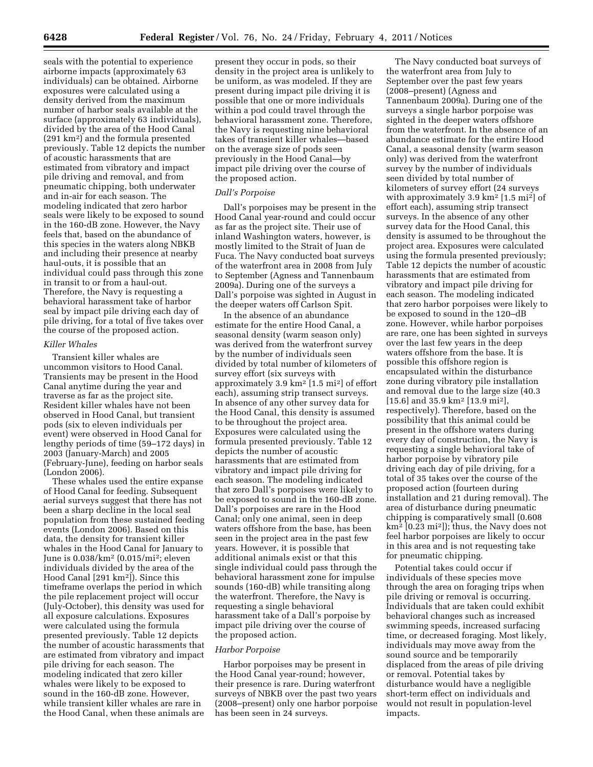seals with the potential to experience airborne impacts (approximately 63 individuals) can be obtained. Airborne exposures were calculated using a density derived from the maximum number of harbor seals available at the surface (approximately 63 individuals), divided by the area of the Hood Canal (291 km2) and the formula presented previously. Table 12 depicts the number of acoustic harassments that are estimated from vibratory and impact pile driving and removal, and from pneumatic chipping, both underwater and in-air for each season. The modeling indicated that zero harbor seals were likely to be exposed to sound in the 160-dB zone. However, the Navy feels that, based on the abundance of this species in the waters along NBKB and including their presence at nearby haul-outs, it is possible that an individual could pass through this zone in transit to or from a haul-out. Therefore, the Navy is requesting a behavioral harassment take of harbor seal by impact pile driving each day of pile driving, for a total of five takes over the course of the proposed action.

#### *Killer Whales*

Transient killer whales are uncommon visitors to Hood Canal. Transients may be present in the Hood Canal anytime during the year and traverse as far as the project site. Resident killer whales have not been observed in Hood Canal, but transient pods (six to eleven individuals per event) were observed in Hood Canal for lengthy periods of time (59–172 days) in 2003 (January-March) and 2005 (February-June), feeding on harbor seals (London 2006).

These whales used the entire expanse of Hood Canal for feeding. Subsequent aerial surveys suggest that there has not been a sharp decline in the local seal population from these sustained feeding events (London 2006). Based on this data, the density for transient killer whales in the Hood Canal for January to June is 0.038/km2 (0.015/mi2; eleven individuals divided by the area of the Hood Canal [291 km2]). Since this timeframe overlaps the period in which the pile replacement project will occur (July-October), this density was used for all exposure calculations. Exposures were calculated using the formula presented previously. Table 12 depicts the number of acoustic harassments that are estimated from vibratory and impact pile driving for each season. The modeling indicated that zero killer whales were likely to be exposed to sound in the 160-dB zone. However, while transient killer whales are rare in the Hood Canal, when these animals are

present they occur in pods, so their density in the project area is unlikely to be uniform, as was modeled. If they are present during impact pile driving it is possible that one or more individuals within a pod could travel through the behavioral harassment zone. Therefore, the Navy is requesting nine behavioral takes of transient killer whales—based on the average size of pods seen previously in the Hood Canal—by impact pile driving over the course of the proposed action.

## *Dall's Porpoise*

Dall's porpoises may be present in the Hood Canal year-round and could occur as far as the project site. Their use of inland Washington waters, however, is mostly limited to the Strait of Juan de Fuca. The Navy conducted boat surveys of the waterfront area in 2008 from July to September (Agness and Tannenbaum 2009a). During one of the surveys a Dall's porpoise was sighted in August in the deeper waters off Carlson Spit.

In the absence of an abundance estimate for the entire Hood Canal, a seasonal density (warm season only) was derived from the waterfront survey by the number of individuals seen divided by total number of kilometers of survey effort (six surveys with approximately 3.9 km2 [1.5 mi2] of effort each), assuming strip transect surveys. In absence of any other survey data for the Hood Canal, this density is assumed to be throughout the project area. Exposures were calculated using the formula presented previously. Table 12 depicts the number of acoustic harassments that are estimated from vibratory and impact pile driving for each season. The modeling indicated that zero Dall's porpoises were likely to be exposed to sound in the 160-dB zone. Dall's porpoises are rare in the Hood Canal; only one animal, seen in deep waters offshore from the base, has been seen in the project area in the past few years. However, it is possible that additional animals exist or that this single individual could pass through the behavioral harassment zone for impulse sounds (160-dB) while transiting along the waterfront. Therefore, the Navy is requesting a single behavioral harassment take of a Dall's porpoise by impact pile driving over the course of the proposed action.

## *Harbor Porpoise*

Harbor porpoises may be present in the Hood Canal year-round; however, their presence is rare. During waterfront surveys of NBKB over the past two years (2008–present) only one harbor porpoise has been seen in 24 surveys.

The Navy conducted boat surveys of the waterfront area from July to September over the past few years (2008–present) (Agness and Tannenbaum 2009a). During one of the surveys a single harbor porpoise was sighted in the deeper waters offshore from the waterfront. In the absence of an abundance estimate for the entire Hood Canal, a seasonal density (warm season only) was derived from the waterfront survey by the number of individuals seen divided by total number of kilometers of survey effort (24 surveys with approximately 3.9 km2 [1.5 mi2] of effort each), assuming strip transect surveys. In the absence of any other survey data for the Hood Canal, this density is assumed to be throughout the project area. Exposures were calculated using the formula presented previously; Table 12 depicts the number of acoustic harassments that are estimated from vibratory and impact pile driving for each season. The modeling indicated that zero harbor porpoises were likely to be exposed to sound in the 120–dB zone. However, while harbor porpoises are rare, one has been sighted in surveys over the last few years in the deep waters offshore from the base. It is possible this offshore region is encapsulated within the disturbance zone during vibratory pile installation and removal due to the large size (40.3 [15.6] and 35.9 km2 [13.9 mi2], respectively). Therefore, based on the possibility that this animal could be present in the offshore waters during every day of construction, the Navy is requesting a single behavioral take of harbor porpoise by vibratory pile driving each day of pile driving, for a total of 35 takes over the course of the proposed action (fourteen during installation and 21 during removal). The area of disturbance during pneumatic chipping is comparatively small (0.608 km2 [0.23 mi2]); thus, the Navy does not feel harbor porpoises are likely to occur in this area and is not requesting take for pneumatic chipping.

Potential takes could occur if individuals of these species move through the area on foraging trips when pile driving or removal is occurring. Individuals that are taken could exhibit behavioral changes such as increased swimming speeds, increased surfacing time, or decreased foraging. Most likely, individuals may move away from the sound source and be temporarily displaced from the areas of pile driving or removal. Potential takes by disturbance would have a negligible short-term effect on individuals and would not result in population-level impacts.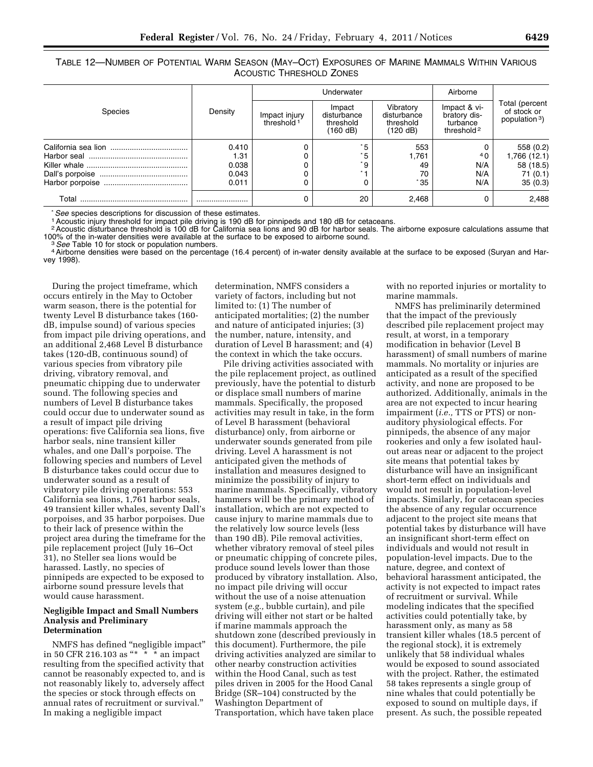TABLE 12—NUMBER OF POTENTIAL WARM SEASON (MAY–OCT) EXPOSURES OF MARINE MAMMALS WITHIN VARIOUS ACOUSTIC THRESHOLD ZONES

|         |         | Underwater                              |                                                |                                                   | Airborne                                                           |                                                |
|---------|---------|-----------------------------------------|------------------------------------------------|---------------------------------------------------|--------------------------------------------------------------------|------------------------------------------------|
| Species | Density | Impact injury<br>threshold <sup>1</sup> | Impact<br>disturbance<br>threshold<br>(160 dB) | Vibratory<br>disturbance<br>threshold<br>(120 dB) | Impact & vi-<br>bratory dis-<br>turbance<br>threshold <sup>2</sup> | Total (percent<br>of stock or<br>population 3) |
|         | 0.410   |                                         | $^*5$                                          | 553                                               |                                                                    | 558 (0.2)                                      |
|         | 1.31    |                                         | * 5                                            | 1,761                                             | 4 <sub>0</sub>                                                     | 1,766 (12.1)                                   |
|         | 0.038   |                                         | $^{\star}9$ .                                  | 49                                                | N/A                                                                | 58 (18.5)                                      |
|         | 0.043   |                                         |                                                | 70                                                | N/A                                                                | 71(0.1)                                        |
|         | 0.011   | 0                                       |                                                | $*35$                                             | N/A                                                                | 35(0.3)                                        |
| Total   |         | 0                                       | 20                                             | 2,468                                             |                                                                    | 2,488                                          |

\* *See* species descriptions for discussion of these estimates.<br><sup>1</sup> Acoustic injury threshold for impact pile driving is 190 dB for pinnipeds and 180 dB for cetaceans.

2Acoustic disturbance threshold is 100 dB for California sea lions and 90 dB for harbor seals. The airborne exposure calculations assume that 100% of the in-water densities were available at the surface to be exposed to airborne sound.<br><sup>3</sup> See Table 10 for stock or population numbers.<br><sup>4</sup> Airborne densities were based on the percentage (16.4 percent) of in-water

vey 1998).

During the project timeframe, which occurs entirely in the May to October warm season, there is the potential for twenty Level B disturbance takes (160 dB, impulse sound) of various species from impact pile driving operations, and an additional 2,468 Level B disturbance takes (120-dB, continuous sound) of various species from vibratory pile driving, vibratory removal, and pneumatic chipping due to underwater sound. The following species and numbers of Level B disturbance takes could occur due to underwater sound as a result of impact pile driving operations: five California sea lions, five harbor seals, nine transient killer whales, and one Dall's porpoise. The following species and numbers of Level B disturbance takes could occur due to underwater sound as a result of vibratory pile driving operations: 553 California sea lions, 1,761 harbor seals, 49 transient killer whales, seventy Dall's porpoises, and 35 harbor porpoises. Due to their lack of presence within the project area during the timeframe for the pile replacement project (July 16–Oct 31), no Steller sea lions would be harassed. Lastly, no species of pinnipeds are expected to be exposed to airborne sound pressure levels that would cause harassment.

## **Negligible Impact and Small Numbers Analysis and Preliminary Determination**

NMFS has defined ''negligible impact'' in 50 CFR 216.103 as  $**$  \* \* an impact resulting from the specified activity that cannot be reasonably expected to, and is not reasonably likely to, adversely affect the species or stock through effects on annual rates of recruitment or survival.'' In making a negligible impact

determination, NMFS considers a variety of factors, including but not limited to: (1) The number of anticipated mortalities; (2) the number and nature of anticipated injuries; (3) the number, nature, intensity, and duration of Level B harassment; and (4) the context in which the take occurs.

Pile driving activities associated with the pile replacement project, as outlined previously, have the potential to disturb or displace small numbers of marine mammals. Specifically, the proposed activities may result in take, in the form of Level B harassment (behavioral disturbance) only, from airborne or underwater sounds generated from pile driving. Level A harassment is not anticipated given the methods of installation and measures designed to minimize the possibility of injury to marine mammals. Specifically, vibratory hammers will be the primary method of installation, which are not expected to cause injury to marine mammals due to the relatively low source levels (less than 190 dB). Pile removal activities, whether vibratory removal of steel piles or pneumatic chipping of concrete piles, produce sound levels lower than those produced by vibratory installation. Also, no impact pile driving will occur without the use of a noise attenuation system (*e.g.,* bubble curtain), and pile driving will either not start or be halted if marine mammals approach the shutdown zone (described previously in this document). Furthermore, the pile driving activities analyzed are similar to other nearby construction activities within the Hood Canal, such as test piles driven in 2005 for the Hood Canal Bridge (SR–104) constructed by the Washington Department of Transportation, which have taken place

with no reported injuries or mortality to marine mammals.

NMFS has preliminarily determined that the impact of the previously described pile replacement project may result, at worst, in a temporary modification in behavior (Level B harassment) of small numbers of marine mammals. No mortality or injuries are anticipated as a result of the specified activity, and none are proposed to be authorized. Additionally, animals in the area are not expected to incur hearing impairment (*i.e.,* TTS or PTS) or nonauditory physiological effects. For pinnipeds, the absence of any major rookeries and only a few isolated haulout areas near or adjacent to the project site means that potential takes by disturbance will have an insignificant short-term effect on individuals and would not result in population-level impacts. Similarly, for cetacean species the absence of any regular occurrence adjacent to the project site means that potential takes by disturbance will have an insignificant short-term effect on individuals and would not result in population-level impacts. Due to the nature, degree, and context of behavioral harassment anticipated, the activity is not expected to impact rates of recruitment or survival. While modeling indicates that the specified activities could potentially take, by harassment only, as many as 58 transient killer whales (18.5 percent of the regional stock), it is extremely unlikely that 58 individual whales would be exposed to sound associated with the project. Rather, the estimated 58 takes represents a single group of nine whales that could potentially be exposed to sound on multiple days, if present. As such, the possible repeated